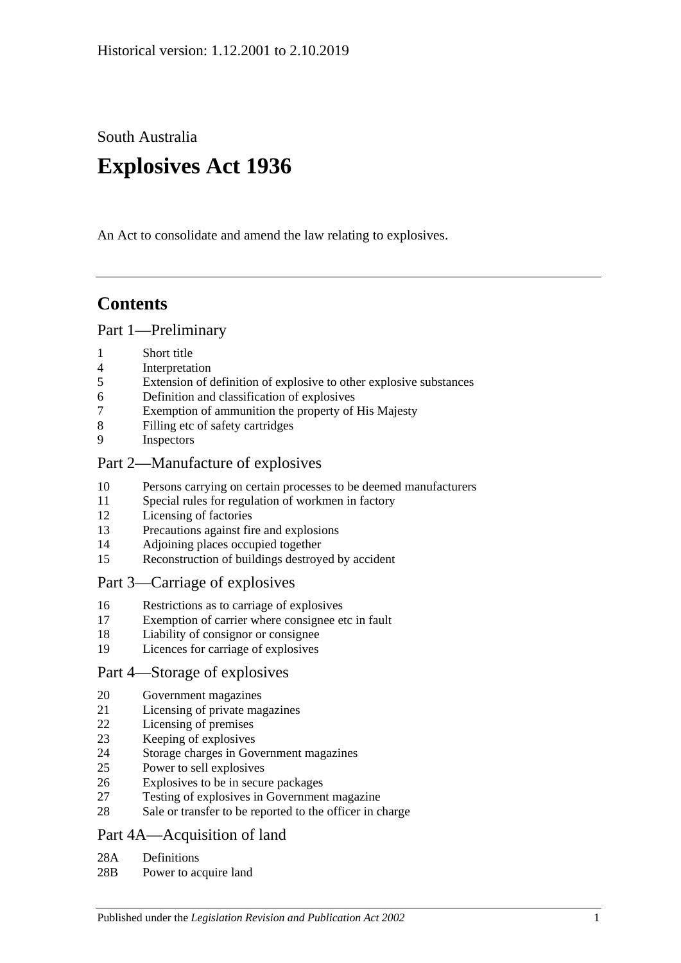South Australia

# **Explosives Act 1936**

An Act to consolidate and amend the law relating to explosives.

# **Contents**

#### [Part 1—Preliminary](#page-1-0)

- [Short title](#page-1-1)
- [Interpretation](#page-2-0)
- [Extension of definition of explosive to other explosive substances](#page-3-0)
- [Definition and classification of explosives](#page-3-1)
- [Exemption of ammunition the property of His Majesty](#page-3-2)
- [Filling etc of safety cartridges](#page-3-3)
- [Inspectors](#page-3-4)

## [Part 2—Manufacture of explosives](#page-4-0)

- [Persons carrying on certain processes to be deemed manufacturers](#page-4-1)
- [Special rules for regulation of workmen in factory](#page-4-2)
- [Licensing of factories](#page-4-3)
- [Precautions against fire and explosions](#page-5-0)
- [Adjoining places occupied together](#page-5-1)
- [Reconstruction of buildings destroyed by accident](#page-5-2)

## [Part 3—Carriage of explosives](#page-6-0)

- [Restrictions as to carriage of explosives](#page-6-1)
- [Exemption of carrier where consignee etc in fault](#page-6-2)
- [Liability of consignor or consignee](#page-6-3)
- [Licences for carriage of explosives](#page-6-4)

## [Part 4—Storage of explosives](#page-7-0)

- [Government magazines](#page-7-1)
- [Licensing of private magazines](#page-7-2)
- [Licensing of premises](#page-7-3)
- [Keeping of explosives](#page-8-0)
- [Storage charges in Government magazines](#page-8-1)
- [Power to sell explosives](#page-9-0)
- [Explosives to be in secure packages](#page-9-1)
- [Testing of explosives in Government magazine](#page-9-2)
- [Sale or transfer to be reported to the officer in charge](#page-9-3)

## [Part 4A—Acquisition of land](#page-10-0)

- 28A [Definitions](#page-10-1)
- 28B [Power to acquire land](#page-10-2)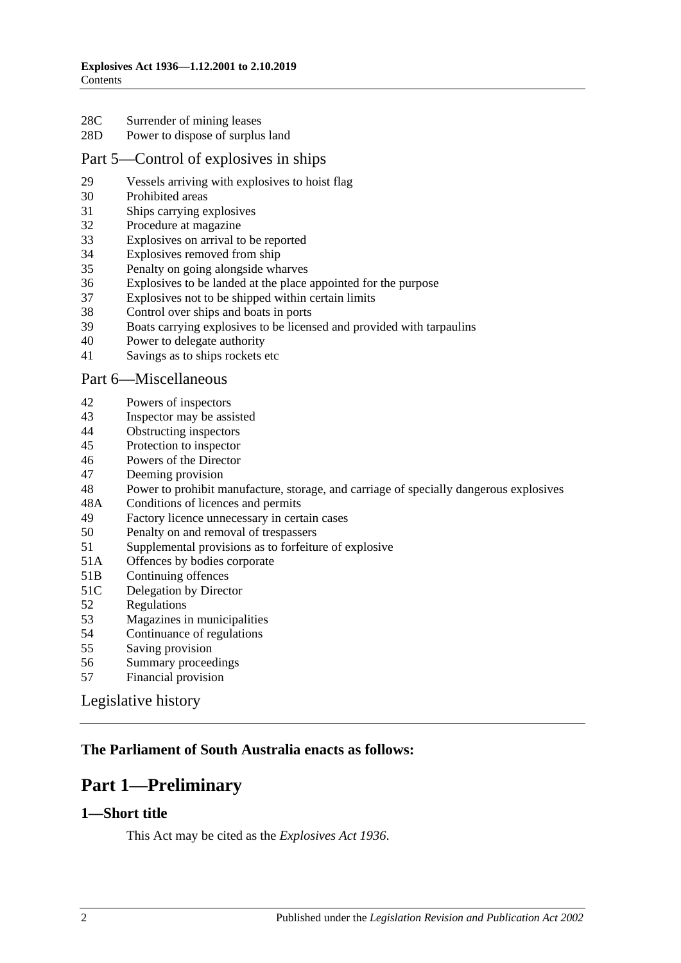- 28C [Surrender of mining leases](#page-10-3)
- 28D [Power to dispose of surplus land](#page-10-4)

#### [Part 5—Control of explosives in ships](#page-10-5)

- [Vessels arriving with explosives to hoist flag](#page-10-6)
- [Prohibited areas](#page-11-0)
- [Ships carrying explosives](#page-11-1)
- [Procedure at magazine](#page-11-2)
- [Explosives on arrival to be reported](#page-12-0)
- [Explosives removed from ship](#page-12-1)
- [Penalty on going alongside wharves](#page-12-2)
- [Explosives to be landed at the place appointed for the purpose](#page-13-0)
- [Explosives not to be shipped within certain limits](#page-13-1)
- [Control over ships and boats in ports](#page-13-2)
- [Boats carrying explosives to be licensed and provided with tarpaulins](#page-13-3)
- [Power to delegate authority](#page-14-0)
- [Savings as to ships rockets etc](#page-14-1)

#### [Part 6—Miscellaneous](#page-14-2)

- [Powers of inspectors](#page-14-3)
- [Inspector may be assisted](#page-15-0)
- [Obstructing inspectors](#page-15-1)<br>45 Protection to inspector
- [Protection to inspector](#page-15-2)
- [Powers of the Director](#page-15-3)
- [Deeming provision](#page-16-0)
- [Power to prohibit manufacture, storage, and carriage of specially dangerous explosives](#page-16-1)
- 48A [Conditions of licences and permits](#page-17-0)
- [Factory licence unnecessary in certain cases](#page-17-1)
- [Penalty on and removal of trespassers](#page-17-2)
- [Supplemental provisions as to forfeiture of explosive](#page-18-0)
- 51A [Offences by bodies corporate](#page-18-1)
- 51B [Continuing offences](#page-18-2)
- 51C [Delegation by Director](#page-18-3)
- [Regulations](#page-19-0)
- [Magazines in municipalities](#page-20-0)
- [Continuance of regulations](#page-20-1)
- [Saving provision](#page-20-2)
- [Summary proceedings](#page-20-3)
- [Financial provision](#page-20-4)

[Legislative history](#page-21-0)

## <span id="page-1-0"></span>**The Parliament of South Australia enacts as follows:**

## **Part 1—Preliminary**

#### <span id="page-1-1"></span>**1—Short title**

This Act may be cited as the *Explosives Act 1936*.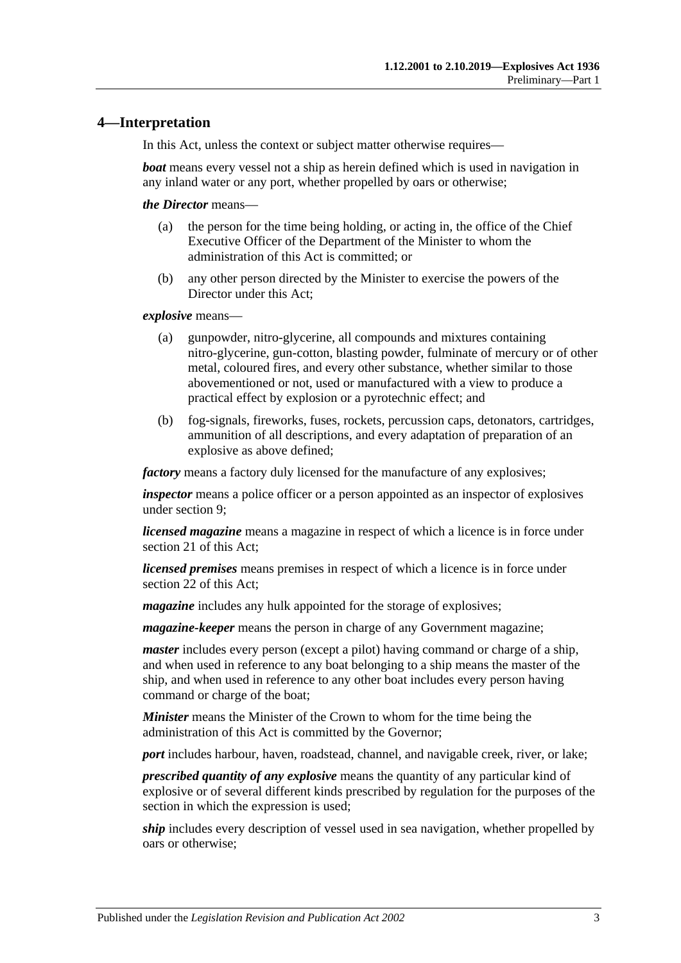## <span id="page-2-0"></span>**4—Interpretation**

In this Act, unless the context or subject matter otherwise requires—

*boat* means every vessel not a ship as herein defined which is used in navigation in any inland water or any port, whether propelled by oars or otherwise;

*the Director* means—

- (a) the person for the time being holding, or acting in, the office of the Chief Executive Officer of the Department of the Minister to whom the administration of this Act is committed; or
- (b) any other person directed by the Minister to exercise the powers of the Director under this Act;

*explosive* means—

- (a) gunpowder, nitro-glycerine, all compounds and mixtures containing nitro-glycerine, gun-cotton, blasting powder, fulminate of mercury or of other metal, coloured fires, and every other substance, whether similar to those abovementioned or not, used or manufactured with a view to produce a practical effect by explosion or a pyrotechnic effect; and
- (b) fog-signals, fireworks, fuses, rockets, percussion caps, detonators, cartridges, ammunition of all descriptions, and every adaptation of preparation of an explosive as above defined;

*factory* means a factory duly licensed for the manufacture of any explosives;

*inspector* means a police officer or a person appointed as an inspector of explosives under [section](#page-3-4) 9;

*licensed magazine* means a magazine in respect of which a licence is in force under [section](#page-7-2) 21 of this Act;

*licensed premises* means premises in respect of which a licence is in force under [section](#page-7-3) 22 of this Act;

*magazine* includes any hulk appointed for the storage of explosives;

*magazine-keeper* means the person in charge of any Government magazine;

*master* includes every person (except a pilot) having command or charge of a ship, and when used in reference to any boat belonging to a ship means the master of the ship, and when used in reference to any other boat includes every person having command or charge of the boat;

*Minister* means the Minister of the Crown to whom for the time being the administration of this Act is committed by the Governor;

*port* includes harbour, haven, roadstead, channel, and navigable creek, river, or lake;

*prescribed quantity of any explosive* means the quantity of any particular kind of explosive or of several different kinds prescribed by regulation for the purposes of the section in which the expression is used;

*ship* includes every description of vessel used in sea navigation, whether propelled by oars or otherwise;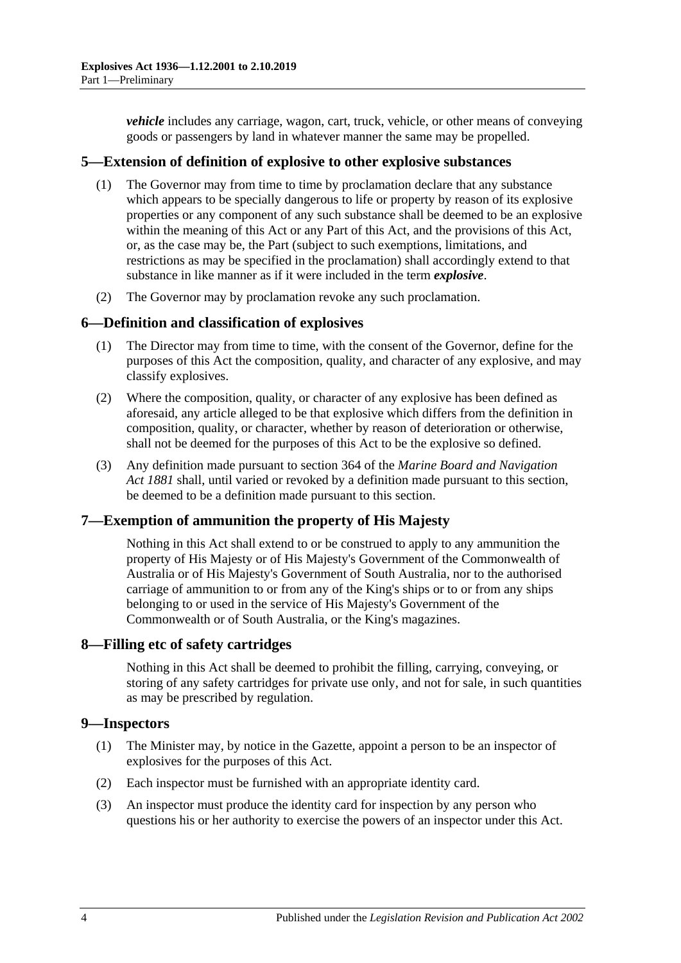*vehicle* includes any carriage, wagon, cart, truck, vehicle, or other means of conveying goods or passengers by land in whatever manner the same may be propelled.

## <span id="page-3-0"></span>**5—Extension of definition of explosive to other explosive substances**

- (1) The Governor may from time to time by proclamation declare that any substance which appears to be specially dangerous to life or property by reason of its explosive properties or any component of any such substance shall be deemed to be an explosive within the meaning of this Act or any Part of this Act, and the provisions of this Act, or, as the case may be, the Part (subject to such exemptions, limitations, and restrictions as may be specified in the proclamation) shall accordingly extend to that substance in like manner as if it were included in the term *explosive*.
- (2) The Governor may by proclamation revoke any such proclamation.

#### <span id="page-3-1"></span>**6—Definition and classification of explosives**

- (1) The Director may from time to time, with the consent of the Governor, define for the purposes of this Act the composition, quality, and character of any explosive, and may classify explosives.
- (2) Where the composition, quality, or character of any explosive has been defined as aforesaid, any article alleged to be that explosive which differs from the definition in composition, quality, or character, whether by reason of deterioration or otherwise, shall not be deemed for the purposes of this Act to be the explosive so defined.
- (3) Any definition made pursuant to section 364 of the *[Marine Board and Navigation](http://www.legislation.sa.gov.au/index.aspx?action=legref&type=act&legtitle=Marine%20Board%20and%20Navigation%20Act%201881)  Act [1881](http://www.legislation.sa.gov.au/index.aspx?action=legref&type=act&legtitle=Marine%20Board%20and%20Navigation%20Act%201881)* shall, until varied or revoked by a definition made pursuant to this section, be deemed to be a definition made pursuant to this section.

## <span id="page-3-2"></span>**7—Exemption of ammunition the property of His Majesty**

Nothing in this Act shall extend to or be construed to apply to any ammunition the property of His Majesty or of His Majesty's Government of the Commonwealth of Australia or of His Majesty's Government of South Australia, nor to the authorised carriage of ammunition to or from any of the King's ships or to or from any ships belonging to or used in the service of His Majesty's Government of the Commonwealth or of South Australia, or the King's magazines.

#### <span id="page-3-3"></span>**8—Filling etc of safety cartridges**

Nothing in this Act shall be deemed to prohibit the filling, carrying, conveying, or storing of any safety cartridges for private use only, and not for sale, in such quantities as may be prescribed by regulation.

## <span id="page-3-4"></span>**9—Inspectors**

- (1) The Minister may, by notice in the Gazette, appoint a person to be an inspector of explosives for the purposes of this Act.
- (2) Each inspector must be furnished with an appropriate identity card.
- (3) An inspector must produce the identity card for inspection by any person who questions his or her authority to exercise the powers of an inspector under this Act.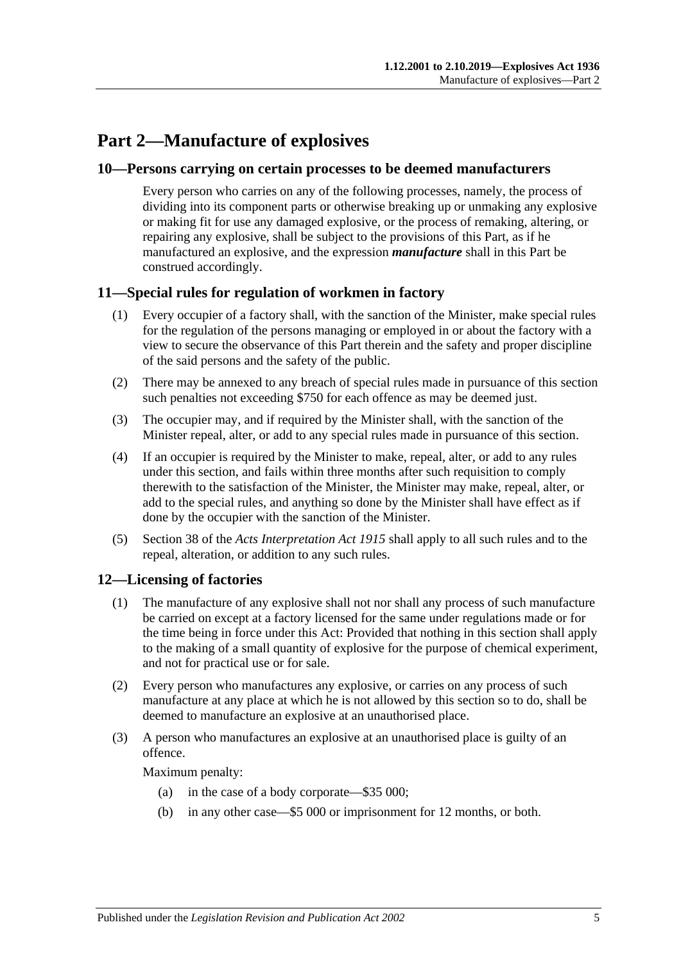# <span id="page-4-0"></span>**Part 2—Manufacture of explosives**

#### <span id="page-4-1"></span>**10—Persons carrying on certain processes to be deemed manufacturers**

Every person who carries on any of the following processes, namely, the process of dividing into its component parts or otherwise breaking up or unmaking any explosive or making fit for use any damaged explosive, or the process of remaking, altering, or repairing any explosive, shall be subject to the provisions of this Part, as if he manufactured an explosive, and the expression *manufacture* shall in this Part be construed accordingly.

## <span id="page-4-2"></span>**11—Special rules for regulation of workmen in factory**

- (1) Every occupier of a factory shall, with the sanction of the Minister, make special rules for the regulation of the persons managing or employed in or about the factory with a view to secure the observance of this Part therein and the safety and proper discipline of the said persons and the safety of the public.
- (2) There may be annexed to any breach of special rules made in pursuance of this section such penalties not exceeding \$750 for each offence as may be deemed just.
- (3) The occupier may, and if required by the Minister shall, with the sanction of the Minister repeal, alter, or add to any special rules made in pursuance of this section.
- (4) If an occupier is required by the Minister to make, repeal, alter, or add to any rules under this section, and fails within three months after such requisition to comply therewith to the satisfaction of the Minister, the Minister may make, repeal, alter, or add to the special rules, and anything so done by the Minister shall have effect as if done by the occupier with the sanction of the Minister.
- (5) Section 38 of the *[Acts Interpretation Act](http://www.legislation.sa.gov.au/index.aspx?action=legref&type=act&legtitle=Acts%20Interpretation%20Act%201915) 1915* shall apply to all such rules and to the repeal, alteration, or addition to any such rules.

## <span id="page-4-3"></span>**12—Licensing of factories**

- (1) The manufacture of any explosive shall not nor shall any process of such manufacture be carried on except at a factory licensed for the same under regulations made or for the time being in force under this Act: Provided that nothing in this section shall apply to the making of a small quantity of explosive for the purpose of chemical experiment, and not for practical use or for sale.
- (2) Every person who manufactures any explosive, or carries on any process of such manufacture at any place at which he is not allowed by this section so to do, shall be deemed to manufacture an explosive at an unauthorised place.
- (3) A person who manufactures an explosive at an unauthorised place is guilty of an offence.

Maximum penalty:

- (a) in the case of a body corporate—\$35 000;
- (b) in any other case—\$5 000 or imprisonment for 12 months, or both.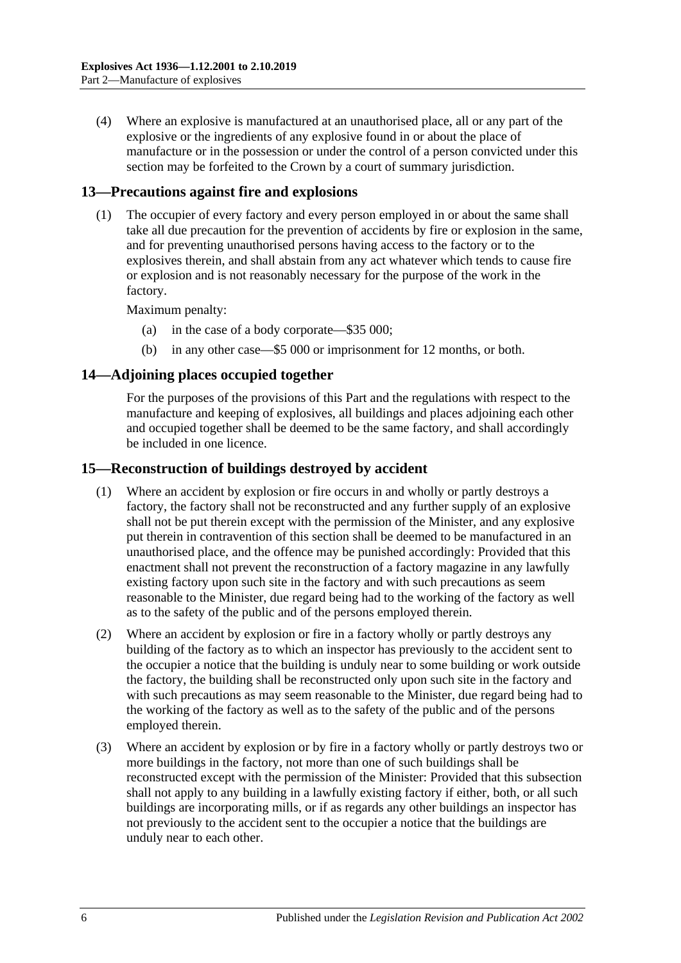(4) Where an explosive is manufactured at an unauthorised place, all or any part of the explosive or the ingredients of any explosive found in or about the place of manufacture or in the possession or under the control of a person convicted under this section may be forfeited to the Crown by a court of summary jurisdiction.

## <span id="page-5-0"></span>**13—Precautions against fire and explosions**

(1) The occupier of every factory and every person employed in or about the same shall take all due precaution for the prevention of accidents by fire or explosion in the same, and for preventing unauthorised persons having access to the factory or to the explosives therein, and shall abstain from any act whatever which tends to cause fire or explosion and is not reasonably necessary for the purpose of the work in the factory.

Maximum penalty:

- (a) in the case of a body corporate—\$35 000;
- (b) in any other case—\$5 000 or imprisonment for 12 months, or both.

## <span id="page-5-1"></span>**14—Adjoining places occupied together**

For the purposes of the provisions of this Part and the regulations with respect to the manufacture and keeping of explosives, all buildings and places adjoining each other and occupied together shall be deemed to be the same factory, and shall accordingly be included in one licence.

## <span id="page-5-2"></span>**15—Reconstruction of buildings destroyed by accident**

- (1) Where an accident by explosion or fire occurs in and wholly or partly destroys a factory, the factory shall not be reconstructed and any further supply of an explosive shall not be put therein except with the permission of the Minister, and any explosive put therein in contravention of this section shall be deemed to be manufactured in an unauthorised place, and the offence may be punished accordingly: Provided that this enactment shall not prevent the reconstruction of a factory magazine in any lawfully existing factory upon such site in the factory and with such precautions as seem reasonable to the Minister, due regard being had to the working of the factory as well as to the safety of the public and of the persons employed therein.
- (2) Where an accident by explosion or fire in a factory wholly or partly destroys any building of the factory as to which an inspector has previously to the accident sent to the occupier a notice that the building is unduly near to some building or work outside the factory, the building shall be reconstructed only upon such site in the factory and with such precautions as may seem reasonable to the Minister, due regard being had to the working of the factory as well as to the safety of the public and of the persons employed therein.
- (3) Where an accident by explosion or by fire in a factory wholly or partly destroys two or more buildings in the factory, not more than one of such buildings shall be reconstructed except with the permission of the Minister: Provided that this subsection shall not apply to any building in a lawfully existing factory if either, both, or all such buildings are incorporating mills, or if as regards any other buildings an inspector has not previously to the accident sent to the occupier a notice that the buildings are unduly near to each other.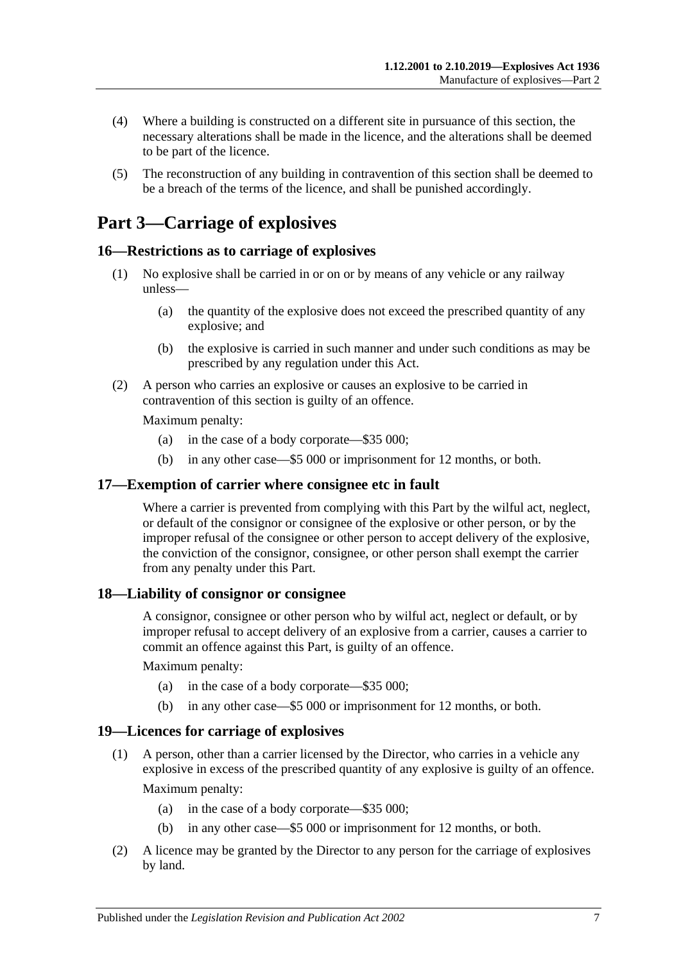- (4) Where a building is constructed on a different site in pursuance of this section, the necessary alterations shall be made in the licence, and the alterations shall be deemed to be part of the licence.
- (5) The reconstruction of any building in contravention of this section shall be deemed to be a breach of the terms of the licence, and shall be punished accordingly.

# <span id="page-6-0"></span>**Part 3—Carriage of explosives**

## <span id="page-6-1"></span>**16—Restrictions as to carriage of explosives**

- (1) No explosive shall be carried in or on or by means of any vehicle or any railway unless—
	- (a) the quantity of the explosive does not exceed the prescribed quantity of any explosive; and
	- (b) the explosive is carried in such manner and under such conditions as may be prescribed by any regulation under this Act.
- (2) A person who carries an explosive or causes an explosive to be carried in contravention of this section is guilty of an offence.

Maximum penalty:

- (a) in the case of a body corporate—\$35 000;
- (b) in any other case—\$5 000 or imprisonment for 12 months, or both.

#### <span id="page-6-2"></span>**17—Exemption of carrier where consignee etc in fault**

Where a carrier is prevented from complying with this Part by the wilful act, neglect, or default of the consignor or consignee of the explosive or other person, or by the improper refusal of the consignee or other person to accept delivery of the explosive, the conviction of the consignor, consignee, or other person shall exempt the carrier from any penalty under this Part.

#### <span id="page-6-3"></span>**18—Liability of consignor or consignee**

A consignor, consignee or other person who by wilful act, neglect or default, or by improper refusal to accept delivery of an explosive from a carrier, causes a carrier to commit an offence against this Part, is guilty of an offence.

Maximum penalty:

- (a) in the case of a body corporate—\$35 000;
- (b) in any other case—\$5 000 or imprisonment for 12 months, or both.

## <span id="page-6-4"></span>**19—Licences for carriage of explosives**

(1) A person, other than a carrier licensed by the Director, who carries in a vehicle any explosive in excess of the prescribed quantity of any explosive is guilty of an offence.

Maximum penalty:

- (a) in the case of a body corporate—\$35 000;
- (b) in any other case—\$5 000 or imprisonment for 12 months, or both.
- (2) A licence may be granted by the Director to any person for the carriage of explosives by land.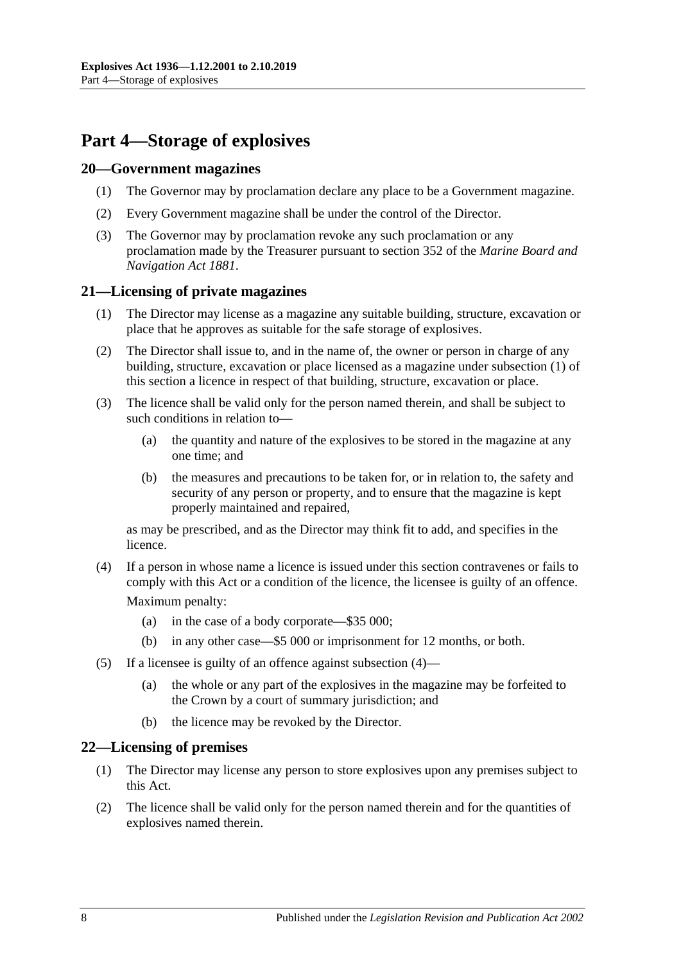# <span id="page-7-0"></span>**Part 4—Storage of explosives**

#### <span id="page-7-1"></span>**20—Government magazines**

- (1) The Governor may by proclamation declare any place to be a Government magazine.
- (2) Every Government magazine shall be under the control of the Director.
- (3) The Governor may by proclamation revoke any such proclamation or any proclamation made by the Treasurer pursuant to section 352 of the *[Marine Board and](http://www.legislation.sa.gov.au/index.aspx?action=legref&type=act&legtitle=Marine%20Board%20and%20Navigation%20Act%201881)  [Navigation Act](http://www.legislation.sa.gov.au/index.aspx?action=legref&type=act&legtitle=Marine%20Board%20and%20Navigation%20Act%201881) 1881*.

## <span id="page-7-4"></span><span id="page-7-2"></span>**21—Licensing of private magazines**

- (1) The Director may license as a magazine any suitable building, structure, excavation or place that he approves as suitable for the safe storage of explosives.
- (2) The Director shall issue to, and in the name of, the owner or person in charge of any building, structure, excavation or place licensed as a magazine under [subsection](#page-7-4) (1) of this section a licence in respect of that building, structure, excavation or place.
- (3) The licence shall be valid only for the person named therein, and shall be subject to such conditions in relation to—
	- (a) the quantity and nature of the explosives to be stored in the magazine at any one time; and
	- (b) the measures and precautions to be taken for, or in relation to, the safety and security of any person or property, and to ensure that the magazine is kept properly maintained and repaired,

as may be prescribed, and as the Director may think fit to add, and specifies in the licence.

- <span id="page-7-5"></span>(4) If a person in whose name a licence is issued under this section contravenes or fails to comply with this Act or a condition of the licence, the licensee is guilty of an offence. Maximum penalty:
	- (a) in the case of a body corporate—\$35 000;
	- (b) in any other case—\$5 000 or imprisonment for 12 months, or both.
- (5) If a licensee is guilty of an offence against [subsection](#page-7-5) (4)—
	- (a) the whole or any part of the explosives in the magazine may be forfeited to the Crown by a court of summary jurisdiction; and
	- (b) the licence may be revoked by the Director.

## <span id="page-7-3"></span>**22—Licensing of premises**

- (1) The Director may license any person to store explosives upon any premises subject to this Act.
- (2) The licence shall be valid only for the person named therein and for the quantities of explosives named therein.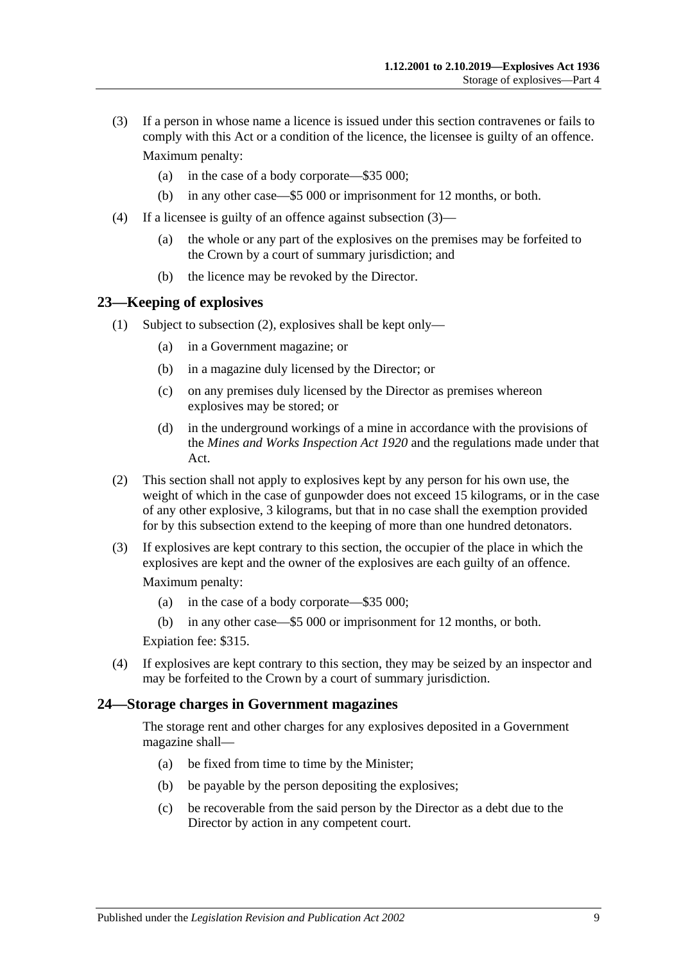- <span id="page-8-2"></span>(3) If a person in whose name a licence is issued under this section contravenes or fails to comply with this Act or a condition of the licence, the licensee is guilty of an offence. Maximum penalty:
	- (a) in the case of a body corporate—\$35 000;
	- (b) in any other case—\$5 000 or imprisonment for 12 months, or both.
- (4) If a licensee is guilty of an offence against [subsection](#page-8-2) (3)—
	- (a) the whole or any part of the explosives on the premises may be forfeited to the Crown by a court of summary jurisdiction; and
	- (b) the licence may be revoked by the Director.

#### <span id="page-8-0"></span>**23—Keeping of explosives**

- (1) Subject to [subsection](#page-8-3) (2), explosives shall be kept only—
	- (a) in a Government magazine; or
	- (b) in a magazine duly licensed by the Director; or
	- (c) on any premises duly licensed by the Director as premises whereon explosives may be stored; or
	- (d) in the underground workings of a mine in accordance with the provisions of the *[Mines and Works Inspection Act](http://www.legislation.sa.gov.au/index.aspx?action=legref&type=act&legtitle=Mines%20and%20Works%20Inspection%20Act%201920) 1920* and the regulations made under that Act.
- <span id="page-8-3"></span>(2) This section shall not apply to explosives kept by any person for his own use, the weight of which in the case of gunpowder does not exceed 15 kilograms, or in the case of any other explosive, 3 kilograms, but that in no case shall the exemption provided for by this subsection extend to the keeping of more than one hundred detonators.
- (3) If explosives are kept contrary to this section, the occupier of the place in which the explosives are kept and the owner of the explosives are each guilty of an offence.

Maximum penalty:

- (a) in the case of a body corporate—\$35 000;
- (b) in any other case—\$5 000 or imprisonment for 12 months, or both.

Expiation fee: \$315.

(4) If explosives are kept contrary to this section, they may be seized by an inspector and may be forfeited to the Crown by a court of summary jurisdiction.

#### <span id="page-8-1"></span>**24—Storage charges in Government magazines**

The storage rent and other charges for any explosives deposited in a Government magazine shall—

- (a) be fixed from time to time by the Minister;
- (b) be payable by the person depositing the explosives;
- (c) be recoverable from the said person by the Director as a debt due to the Director by action in any competent court.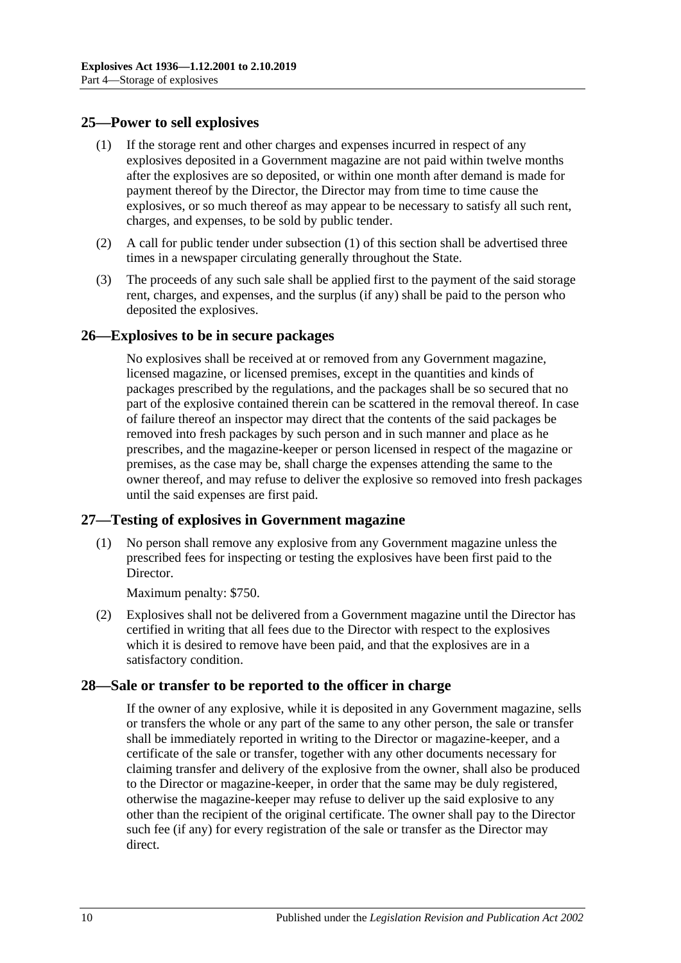## <span id="page-9-4"></span><span id="page-9-0"></span>**25—Power to sell explosives**

- (1) If the storage rent and other charges and expenses incurred in respect of any explosives deposited in a Government magazine are not paid within twelve months after the explosives are so deposited, or within one month after demand is made for payment thereof by the Director, the Director may from time to time cause the explosives, or so much thereof as may appear to be necessary to satisfy all such rent, charges, and expenses, to be sold by public tender.
- (2) A call for public tender under [subsection](#page-9-4) (1) of this section shall be advertised three times in a newspaper circulating generally throughout the State.
- (3) The proceeds of any such sale shall be applied first to the payment of the said storage rent, charges, and expenses, and the surplus (if any) shall be paid to the person who deposited the explosives.

## <span id="page-9-1"></span>**26—Explosives to be in secure packages**

No explosives shall be received at or removed from any Government magazine, licensed magazine, or licensed premises, except in the quantities and kinds of packages prescribed by the regulations, and the packages shall be so secured that no part of the explosive contained therein can be scattered in the removal thereof. In case of failure thereof an inspector may direct that the contents of the said packages be removed into fresh packages by such person and in such manner and place as he prescribes, and the magazine-keeper or person licensed in respect of the magazine or premises, as the case may be, shall charge the expenses attending the same to the owner thereof, and may refuse to deliver the explosive so removed into fresh packages until the said expenses are first paid.

## <span id="page-9-2"></span>**27—Testing of explosives in Government magazine**

(1) No person shall remove any explosive from any Government magazine unless the prescribed fees for inspecting or testing the explosives have been first paid to the Director.

Maximum penalty: \$750.

(2) Explosives shall not be delivered from a Government magazine until the Director has certified in writing that all fees due to the Director with respect to the explosives which it is desired to remove have been paid, and that the explosives are in a satisfactory condition.

## <span id="page-9-3"></span>**28—Sale or transfer to be reported to the officer in charge**

If the owner of any explosive, while it is deposited in any Government magazine, sells or transfers the whole or any part of the same to any other person, the sale or transfer shall be immediately reported in writing to the Director or magazine-keeper, and a certificate of the sale or transfer, together with any other documents necessary for claiming transfer and delivery of the explosive from the owner, shall also be produced to the Director or magazine-keeper, in order that the same may be duly registered, otherwise the magazine-keeper may refuse to deliver up the said explosive to any other than the recipient of the original certificate. The owner shall pay to the Director such fee (if any) for every registration of the sale or transfer as the Director may direct.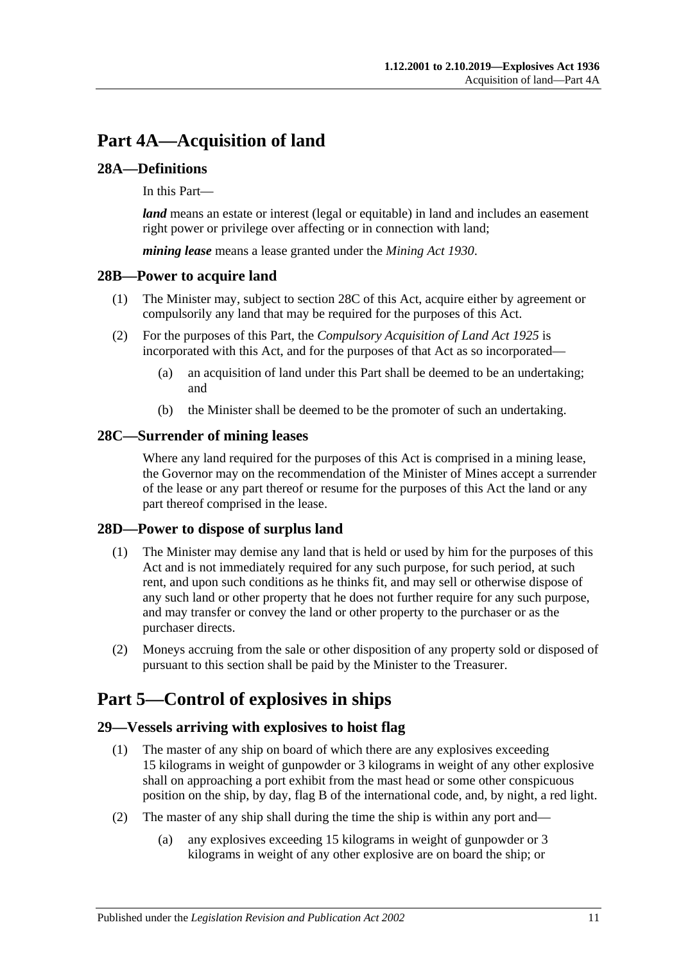# <span id="page-10-0"></span>**Part 4A—Acquisition of land**

## <span id="page-10-1"></span>**28A—Definitions**

In this Part—

*land* means an estate or interest (legal or equitable) in land and includes an easement right power or privilege over affecting or in connection with land;

*mining lease* means a lease granted under the *[Mining Act](http://www.legislation.sa.gov.au/index.aspx?action=legref&type=act&legtitle=Mining%20Act%201930) 1930*.

## <span id="page-10-2"></span>**28B—Power to acquire land**

- (1) The Minister may, subject to [section](#page-10-3) 28C of this Act, acquire either by agreement or compulsorily any land that may be required for the purposes of this Act.
- (2) For the purposes of this Part, the *[Compulsory Acquisition of Land Act](http://www.legislation.sa.gov.au/index.aspx?action=legref&type=act&legtitle=Compulsory%20Acquisition%20of%20Land%20Act%201925) 1925* is incorporated with this Act, and for the purposes of that Act as so incorporated—
	- (a) an acquisition of land under this Part shall be deemed to be an undertaking; and
	- (b) the Minister shall be deemed to be the promoter of such an undertaking.

## <span id="page-10-3"></span>**28C—Surrender of mining leases**

Where any land required for the purposes of this Act is comprised in a mining lease, the Governor may on the recommendation of the Minister of Mines accept a surrender of the lease or any part thereof or resume for the purposes of this Act the land or any part thereof comprised in the lease.

## <span id="page-10-4"></span>**28D—Power to dispose of surplus land**

- (1) The Minister may demise any land that is held or used by him for the purposes of this Act and is not immediately required for any such purpose, for such period, at such rent, and upon such conditions as he thinks fit, and may sell or otherwise dispose of any such land or other property that he does not further require for any such purpose, and may transfer or convey the land or other property to the purchaser or as the purchaser directs.
- (2) Moneys accruing from the sale or other disposition of any property sold or disposed of pursuant to this section shall be paid by the Minister to the Treasurer.

# <span id="page-10-5"></span>**Part 5—Control of explosives in ships**

## <span id="page-10-6"></span>**29—Vessels arriving with explosives to hoist flag**

- (1) The master of any ship on board of which there are any explosives exceeding 15 kilograms in weight of gunpowder or 3 kilograms in weight of any other explosive shall on approaching a port exhibit from the mast head or some other conspicuous position on the ship, by day, flag B of the international code, and, by night, a red light.
- (2) The master of any ship shall during the time the ship is within any port and—
	- (a) any explosives exceeding 15 kilograms in weight of gunpowder or 3 kilograms in weight of any other explosive are on board the ship; or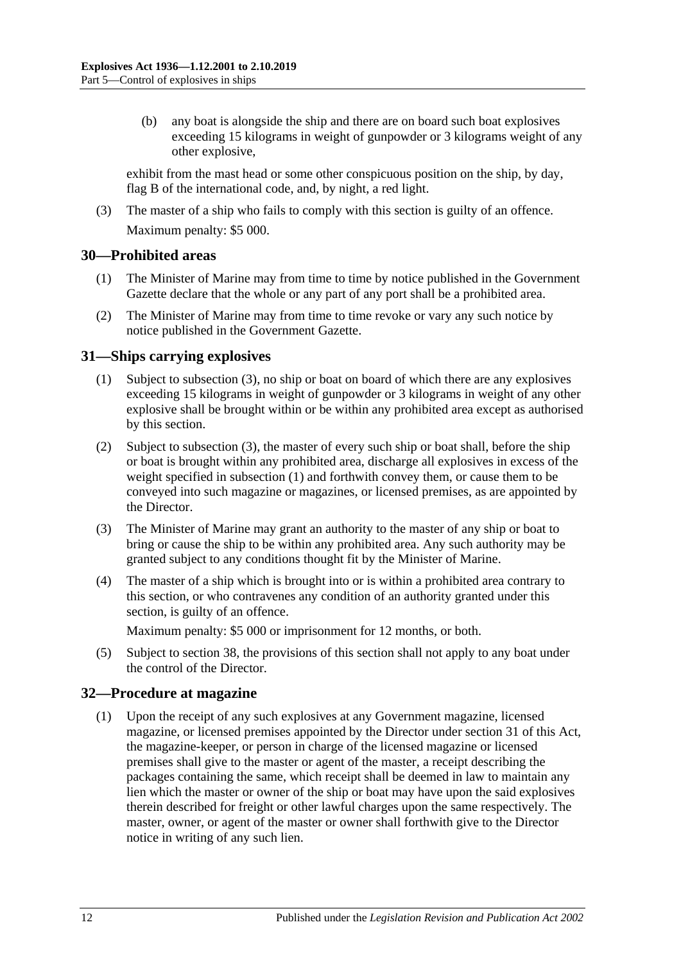(b) any boat is alongside the ship and there are on board such boat explosives exceeding 15 kilograms in weight of gunpowder or 3 kilograms weight of any other explosive,

exhibit from the mast head or some other conspicuous position on the ship, by day, flag B of the international code, and, by night, a red light.

(3) The master of a ship who fails to comply with this section is guilty of an offence. Maximum penalty: \$5 000.

## <span id="page-11-0"></span>**30—Prohibited areas**

- (1) The Minister of Marine may from time to time by notice published in the Government Gazette declare that the whole or any part of any port shall be a prohibited area.
- (2) The Minister of Marine may from time to time revoke or vary any such notice by notice published in the Government Gazette.

## <span id="page-11-4"></span><span id="page-11-1"></span>**31—Ships carrying explosives**

- (1) Subject to [subsection](#page-11-3) (3), no ship or boat on board of which there are any explosives exceeding 15 kilograms in weight of gunpowder or 3 kilograms in weight of any other explosive shall be brought within or be within any prohibited area except as authorised by this section.
- (2) Subject to [subsection](#page-11-3) (3), the master of every such ship or boat shall, before the ship or boat is brought within any prohibited area, discharge all explosives in excess of the weight specified in [subsection](#page-11-4) (1) and forthwith convey them, or cause them to be conveyed into such magazine or magazines, or licensed premises, as are appointed by the Director.
- <span id="page-11-3"></span>(3) The Minister of Marine may grant an authority to the master of any ship or boat to bring or cause the ship to be within any prohibited area. Any such authority may be granted subject to any conditions thought fit by the Minister of Marine.
- (4) The master of a ship which is brought into or is within a prohibited area contrary to this section, or who contravenes any condition of an authority granted under this section, is guilty of an offence.

Maximum penalty: \$5 000 or imprisonment for 12 months, or both.

(5) Subject to [section](#page-13-2) 38, the provisions of this section shall not apply to any boat under the control of the Director.

## <span id="page-11-2"></span>**32—Procedure at magazine**

(1) Upon the receipt of any such explosives at any Government magazine, licensed magazine, or licensed premises appointed by the Director under [section](#page-11-1) 31 of this Act, the magazine-keeper, or person in charge of the licensed magazine or licensed premises shall give to the master or agent of the master, a receipt describing the packages containing the same, which receipt shall be deemed in law to maintain any lien which the master or owner of the ship or boat may have upon the said explosives therein described for freight or other lawful charges upon the same respectively. The master, owner, or agent of the master or owner shall forthwith give to the Director notice in writing of any such lien.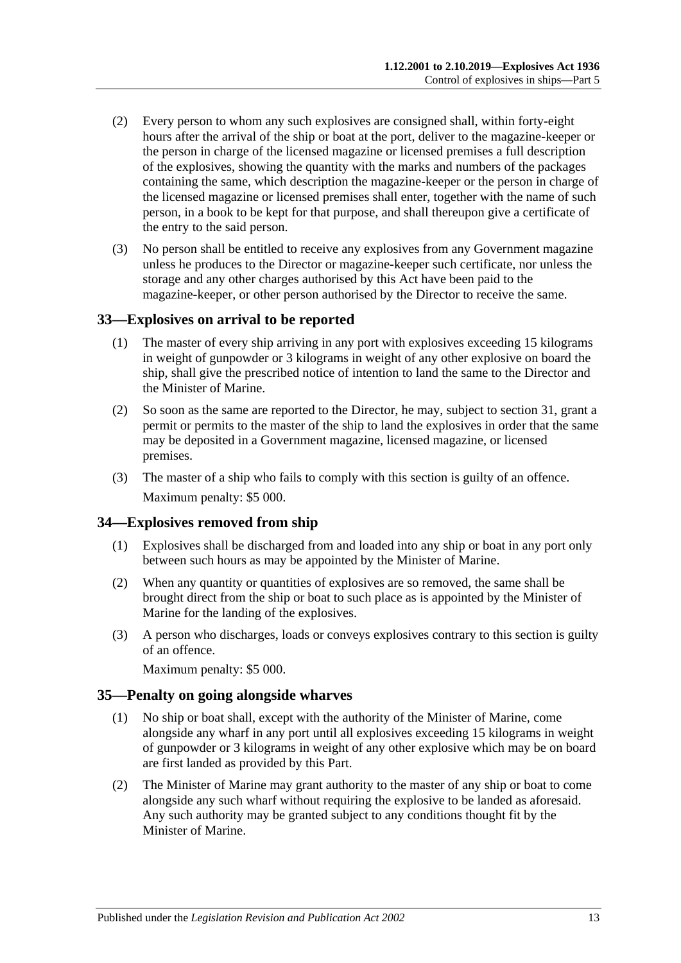- (2) Every person to whom any such explosives are consigned shall, within forty-eight hours after the arrival of the ship or boat at the port, deliver to the magazine-keeper or the person in charge of the licensed magazine or licensed premises a full description of the explosives, showing the quantity with the marks and numbers of the packages containing the same, which description the magazine-keeper or the person in charge of the licensed magazine or licensed premises shall enter, together with the name of such person, in a book to be kept for that purpose, and shall thereupon give a certificate of the entry to the said person.
- (3) No person shall be entitled to receive any explosives from any Government magazine unless he produces to the Director or magazine-keeper such certificate, nor unless the storage and any other charges authorised by this Act have been paid to the magazine-keeper, or other person authorised by the Director to receive the same.

#### <span id="page-12-0"></span>**33—Explosives on arrival to be reported**

- (1) The master of every ship arriving in any port with explosives exceeding 15 kilograms in weight of gunpowder or 3 kilograms in weight of any other explosive on board the ship, shall give the prescribed notice of intention to land the same to the Director and the Minister of Marine.
- (2) So soon as the same are reported to the Director, he may, subject to [section](#page-11-1) 31, grant a permit or permits to the master of the ship to land the explosives in order that the same may be deposited in a Government magazine, licensed magazine, or licensed premises.
- (3) The master of a ship who fails to comply with this section is guilty of an offence. Maximum penalty: \$5 000.

## <span id="page-12-1"></span>**34—Explosives removed from ship**

- (1) Explosives shall be discharged from and loaded into any ship or boat in any port only between such hours as may be appointed by the Minister of Marine.
- (2) When any quantity or quantities of explosives are so removed, the same shall be brought direct from the ship or boat to such place as is appointed by the Minister of Marine for the landing of the explosives.
- (3) A person who discharges, loads or conveys explosives contrary to this section is guilty of an offence.

Maximum penalty: \$5 000.

#### <span id="page-12-2"></span>**35—Penalty on going alongside wharves**

- (1) No ship or boat shall, except with the authority of the Minister of Marine, come alongside any wharf in any port until all explosives exceeding 15 kilograms in weight of gunpowder or 3 kilograms in weight of any other explosive which may be on board are first landed as provided by this Part.
- (2) The Minister of Marine may grant authority to the master of any ship or boat to come alongside any such wharf without requiring the explosive to be landed as aforesaid. Any such authority may be granted subject to any conditions thought fit by the Minister of Marine.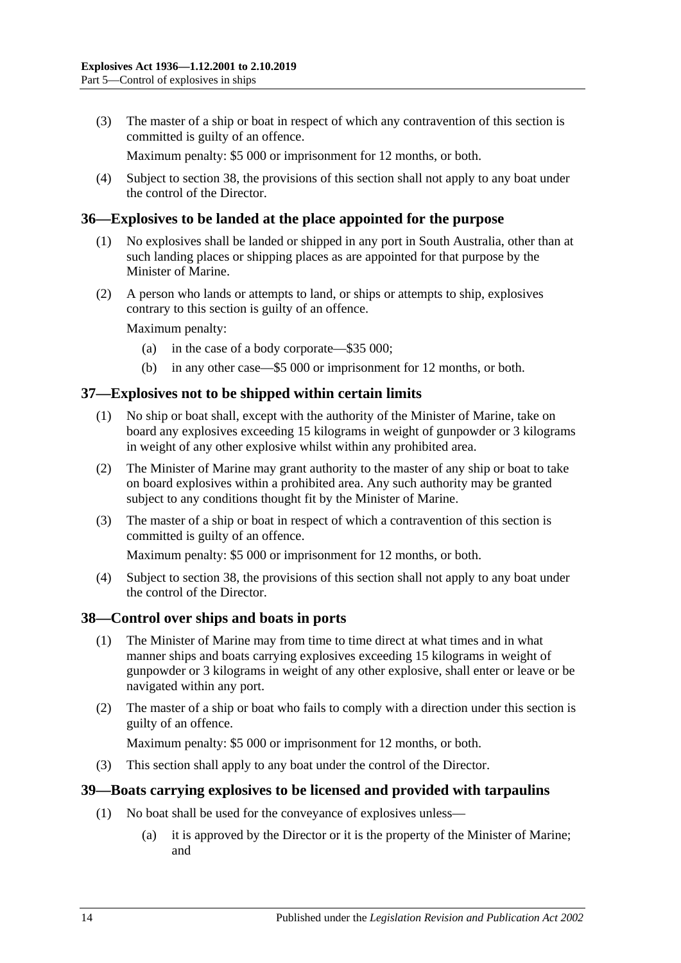(3) The master of a ship or boat in respect of which any contravention of this section is committed is guilty of an offence.

Maximum penalty: \$5 000 or imprisonment for 12 months, or both.

(4) Subject to [section](#page-13-2) 38, the provisions of this section shall not apply to any boat under the control of the Director.

#### <span id="page-13-0"></span>**36—Explosives to be landed at the place appointed for the purpose**

- (1) No explosives shall be landed or shipped in any port in South Australia, other than at such landing places or shipping places as are appointed for that purpose by the Minister of Marine.
- (2) A person who lands or attempts to land, or ships or attempts to ship, explosives contrary to this section is guilty of an offence.

Maximum penalty:

- (a) in the case of a body corporate—\$35 000;
- (b) in any other case—\$5 000 or imprisonment for 12 months, or both.

#### <span id="page-13-1"></span>**37—Explosives not to be shipped within certain limits**

- (1) No ship or boat shall, except with the authority of the Minister of Marine, take on board any explosives exceeding 15 kilograms in weight of gunpowder or 3 kilograms in weight of any other explosive whilst within any prohibited area.
- (2) The Minister of Marine may grant authority to the master of any ship or boat to take on board explosives within a prohibited area. Any such authority may be granted subject to any conditions thought fit by the Minister of Marine.
- (3) The master of a ship or boat in respect of which a contravention of this section is committed is guilty of an offence.

Maximum penalty: \$5 000 or imprisonment for 12 months, or both.

(4) Subject to [section](#page-13-2) 38, the provisions of this section shall not apply to any boat under the control of the Director.

#### <span id="page-13-2"></span>**38—Control over ships and boats in ports**

- (1) The Minister of Marine may from time to time direct at what times and in what manner ships and boats carrying explosives exceeding 15 kilograms in weight of gunpowder or 3 kilograms in weight of any other explosive, shall enter or leave or be navigated within any port.
- (2) The master of a ship or boat who fails to comply with a direction under this section is guilty of an offence.

Maximum penalty: \$5 000 or imprisonment for 12 months, or both.

(3) This section shall apply to any boat under the control of the Director.

#### <span id="page-13-4"></span><span id="page-13-3"></span>**39—Boats carrying explosives to be licensed and provided with tarpaulins**

- (1) No boat shall be used for the conveyance of explosives unless—
	- (a) it is approved by the Director or it is the property of the Minister of Marine; and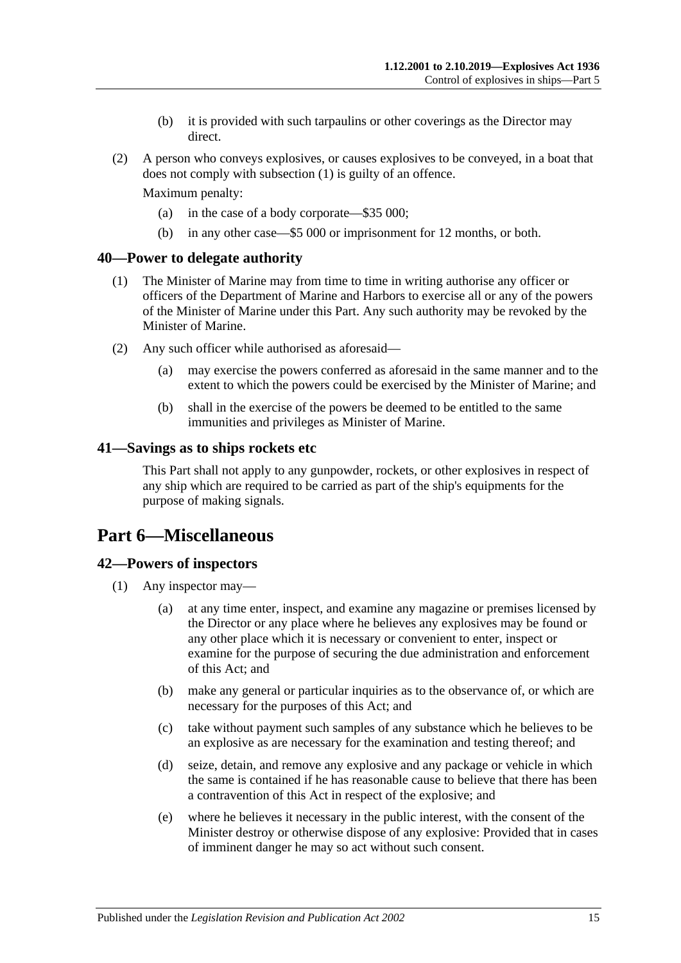- (b) it is provided with such tarpaulins or other coverings as the Director may direct.
- (2) A person who conveys explosives, or causes explosives to be conveyed, in a boat that does not comply with [subsection](#page-13-4) (1) is guilty of an offence.

Maximum penalty:

- (a) in the case of a body corporate—\$35 000;
- (b) in any other case—\$5 000 or imprisonment for 12 months, or both.

#### <span id="page-14-0"></span>**40—Power to delegate authority**

- (1) The Minister of Marine may from time to time in writing authorise any officer or officers of the Department of Marine and Harbors to exercise all or any of the powers of the Minister of Marine under this Part. Any such authority may be revoked by the Minister of Marine.
- (2) Any such officer while authorised as aforesaid—
	- (a) may exercise the powers conferred as aforesaid in the same manner and to the extent to which the powers could be exercised by the Minister of Marine; and
	- (b) shall in the exercise of the powers be deemed to be entitled to the same immunities and privileges as Minister of Marine.

#### <span id="page-14-1"></span>**41—Savings as to ships rockets etc**

This Part shall not apply to any gunpowder, rockets, or other explosives in respect of any ship which are required to be carried as part of the ship's equipments for the purpose of making signals.

## <span id="page-14-2"></span>**Part 6—Miscellaneous**

#### <span id="page-14-5"></span><span id="page-14-3"></span>**42—Powers of inspectors**

- <span id="page-14-4"></span>(1) Any inspector may—
	- (a) at any time enter, inspect, and examine any magazine or premises licensed by the Director or any place where he believes any explosives may be found or any other place which it is necessary or convenient to enter, inspect or examine for the purpose of securing the due administration and enforcement of this Act; and
	- (b) make any general or particular inquiries as to the observance of, or which are necessary for the purposes of this Act; and
	- (c) take without payment such samples of any substance which he believes to be an explosive as are necessary for the examination and testing thereof; and
	- (d) seize, detain, and remove any explosive and any package or vehicle in which the same is contained if he has reasonable cause to believe that there has been a contravention of this Act in respect of the explosive; and
	- (e) where he believes it necessary in the public interest, with the consent of the Minister destroy or otherwise dispose of any explosive: Provided that in cases of imminent danger he may so act without such consent.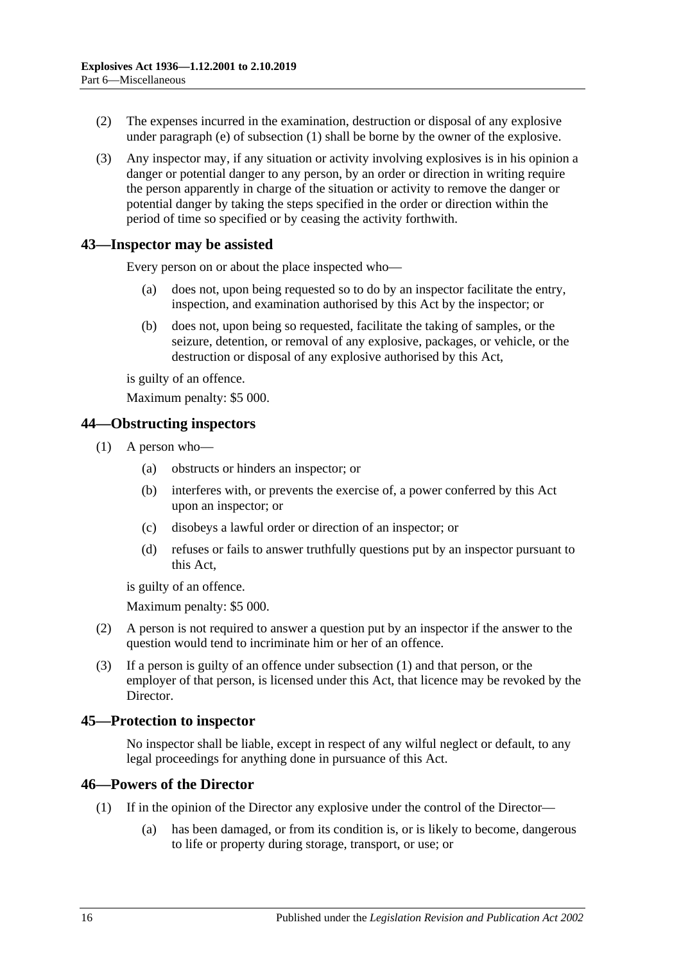- (2) The expenses incurred in the examination, destruction or disposal of any explosive under [paragraph](#page-14-4) (e) of [subsection](#page-14-5) (1) shall be borne by the owner of the explosive.
- (3) Any inspector may, if any situation or activity involving explosives is in his opinion a danger or potential danger to any person, by an order or direction in writing require the person apparently in charge of the situation or activity to remove the danger or potential danger by taking the steps specified in the order or direction within the period of time so specified or by ceasing the activity forthwith.

#### <span id="page-15-0"></span>**43—Inspector may be assisted**

Every person on or about the place inspected who—

- (a) does not, upon being requested so to do by an inspector facilitate the entry, inspection, and examination authorised by this Act by the inspector; or
- (b) does not, upon being so requested, facilitate the taking of samples, or the seizure, detention, or removal of any explosive, packages, or vehicle, or the destruction or disposal of any explosive authorised by this Act,

is guilty of an offence.

Maximum penalty: \$5 000.

#### <span id="page-15-4"></span><span id="page-15-1"></span>**44—Obstructing inspectors**

- (1) A person who—
	- (a) obstructs or hinders an inspector; or
	- (b) interferes with, or prevents the exercise of, a power conferred by this Act upon an inspector; or
	- (c) disobeys a lawful order or direction of an inspector; or
	- (d) refuses or fails to answer truthfully questions put by an inspector pursuant to this Act,

is guilty of an offence.

Maximum penalty: \$5 000.

- (2) A person is not required to answer a question put by an inspector if the answer to the question would tend to incriminate him or her of an offence.
- (3) If a person is guilty of an offence under [subsection](#page-15-4) (1) and that person, or the employer of that person, is licensed under this Act, that licence may be revoked by the Director.

#### <span id="page-15-2"></span>**45—Protection to inspector**

No inspector shall be liable, except in respect of any wilful neglect or default, to any legal proceedings for anything done in pursuance of this Act.

#### <span id="page-15-3"></span>**46—Powers of the Director**

- (1) If in the opinion of the Director any explosive under the control of the Director—
	- (a) has been damaged, or from its condition is, or is likely to become, dangerous to life or property during storage, transport, or use; or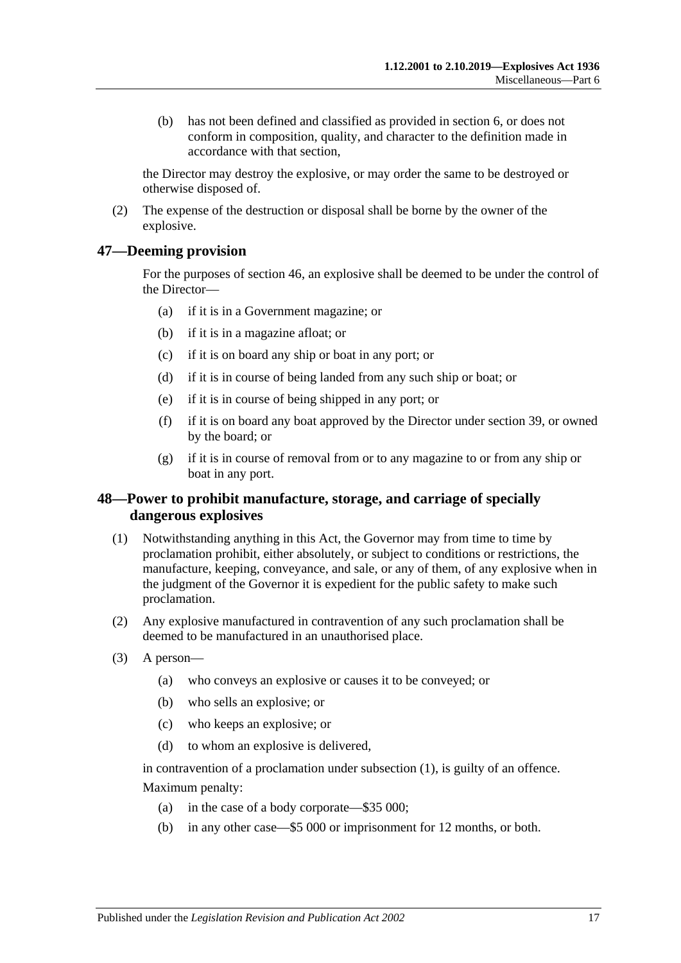(b) has not been defined and classified as provided in [section](#page-3-1) 6, or does not conform in composition, quality, and character to the definition made in accordance with that section,

the Director may destroy the explosive, or may order the same to be destroyed or otherwise disposed of.

(2) The expense of the destruction or disposal shall be borne by the owner of the explosive.

## <span id="page-16-0"></span>**47—Deeming provision**

For the purposes of [section](#page-15-3) 46, an explosive shall be deemed to be under the control of the Director—

- (a) if it is in a Government magazine; or
- (b) if it is in a magazine afloat; or
- (c) if it is on board any ship or boat in any port; or
- (d) if it is in course of being landed from any such ship or boat; or
- (e) if it is in course of being shipped in any port; or
- (f) if it is on board any boat approved by the Director under [section](#page-13-3) 39, or owned by the board; or
- (g) if it is in course of removal from or to any magazine to or from any ship or boat in any port.

## <span id="page-16-1"></span>**48—Power to prohibit manufacture, storage, and carriage of specially dangerous explosives**

- <span id="page-16-2"></span>(1) Notwithstanding anything in this Act, the Governor may from time to time by proclamation prohibit, either absolutely, or subject to conditions or restrictions, the manufacture, keeping, conveyance, and sale, or any of them, of any explosive when in the judgment of the Governor it is expedient for the public safety to make such proclamation.
- (2) Any explosive manufactured in contravention of any such proclamation shall be deemed to be manufactured in an unauthorised place.
- (3) A person—
	- (a) who conveys an explosive or causes it to be conveyed; or
	- (b) who sells an explosive; or
	- (c) who keeps an explosive; or
	- (d) to whom an explosive is delivered,

in contravention of a proclamation under [subsection](#page-16-2) (1), is guilty of an offence. Maximum penalty:

- (a) in the case of a body corporate—\$35 000;
- (b) in any other case—\$5 000 or imprisonment for 12 months, or both.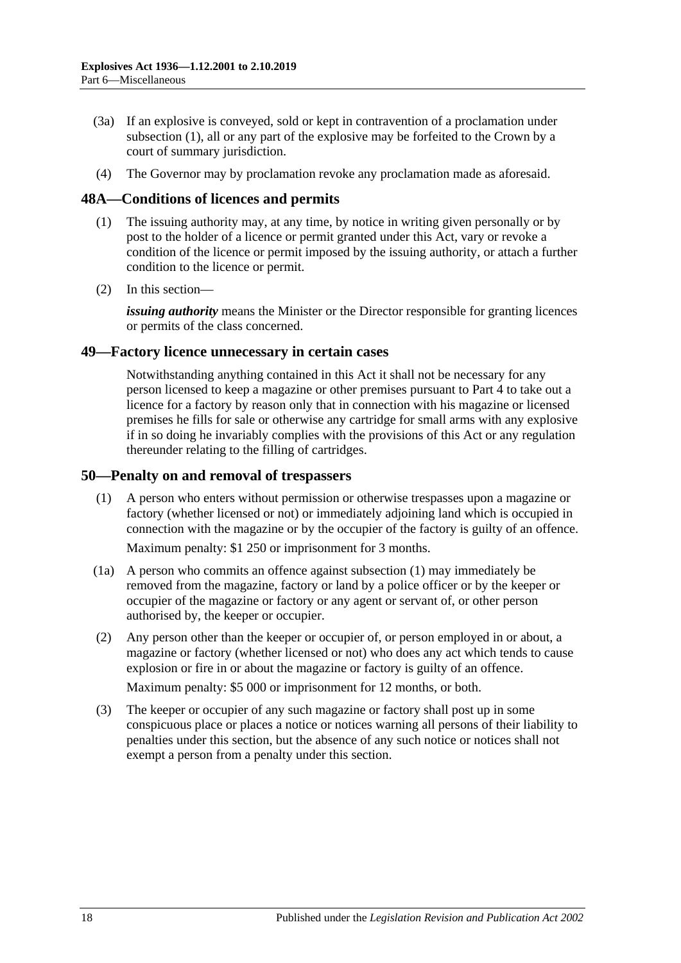- (3a) If an explosive is conveyed, sold or kept in contravention of a proclamation under [subsection](#page-16-2) (1), all or any part of the explosive may be forfeited to the Crown by a court of summary jurisdiction.
- (4) The Governor may by proclamation revoke any proclamation made as aforesaid.

#### <span id="page-17-0"></span>**48A—Conditions of licences and permits**

- (1) The issuing authority may, at any time, by notice in writing given personally or by post to the holder of a licence or permit granted under this Act, vary or revoke a condition of the licence or permit imposed by the issuing authority, or attach a further condition to the licence or permit.
- (2) In this section—

*issuing authority* means the Minister or the Director responsible for granting licences or permits of the class concerned.

#### <span id="page-17-1"></span>**49—Factory licence unnecessary in certain cases**

Notwithstanding anything contained in this Act it shall not be necessary for any person licensed to keep a magazine or other premises pursuant to [Part 4](#page-7-0) to take out a licence for a factory by reason only that in connection with his magazine or licensed premises he fills for sale or otherwise any cartridge for small arms with any explosive if in so doing he invariably complies with the provisions of this Act or any regulation thereunder relating to the filling of cartridges.

#### <span id="page-17-3"></span><span id="page-17-2"></span>**50—Penalty on and removal of trespassers**

(1) A person who enters without permission or otherwise trespasses upon a magazine or factory (whether licensed or not) or immediately adjoining land which is occupied in connection with the magazine or by the occupier of the factory is guilty of an offence.

Maximum penalty: \$1 250 or imprisonment for 3 months.

- (1a) A person who commits an offence against [subsection](#page-17-3) (1) may immediately be removed from the magazine, factory or land by a police officer or by the keeper or occupier of the magazine or factory or any agent or servant of, or other person authorised by, the keeper or occupier.
- (2) Any person other than the keeper or occupier of, or person employed in or about, a magazine or factory (whether licensed or not) who does any act which tends to cause explosion or fire in or about the magazine or factory is guilty of an offence.

Maximum penalty: \$5 000 or imprisonment for 12 months, or both.

(3) The keeper or occupier of any such magazine or factory shall post up in some conspicuous place or places a notice or notices warning all persons of their liability to penalties under this section, but the absence of any such notice or notices shall not exempt a person from a penalty under this section.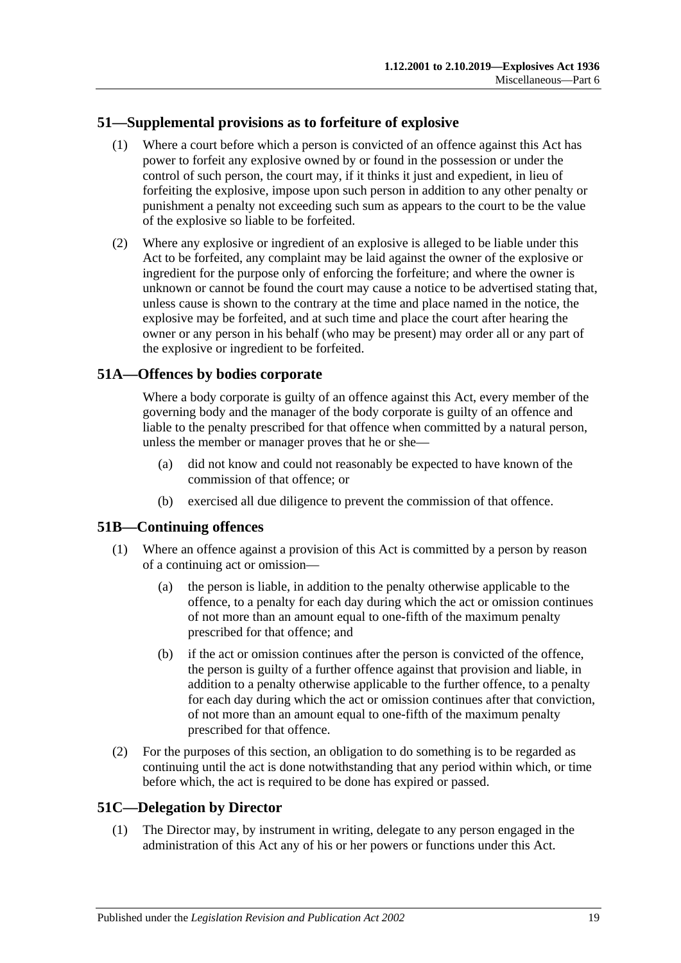## <span id="page-18-0"></span>**51—Supplemental provisions as to forfeiture of explosive**

- (1) Where a court before which a person is convicted of an offence against this Act has power to forfeit any explosive owned by or found in the possession or under the control of such person, the court may, if it thinks it just and expedient, in lieu of forfeiting the explosive, impose upon such person in addition to any other penalty or punishment a penalty not exceeding such sum as appears to the court to be the value of the explosive so liable to be forfeited.
- (2) Where any explosive or ingredient of an explosive is alleged to be liable under this Act to be forfeited, any complaint may be laid against the owner of the explosive or ingredient for the purpose only of enforcing the forfeiture; and where the owner is unknown or cannot be found the court may cause a notice to be advertised stating that, unless cause is shown to the contrary at the time and place named in the notice, the explosive may be forfeited, and at such time and place the court after hearing the owner or any person in his behalf (who may be present) may order all or any part of the explosive or ingredient to be forfeited.

## <span id="page-18-1"></span>**51A—Offences by bodies corporate**

Where a body corporate is guilty of an offence against this Act, every member of the governing body and the manager of the body corporate is guilty of an offence and liable to the penalty prescribed for that offence when committed by a natural person, unless the member or manager proves that he or she—

- (a) did not know and could not reasonably be expected to have known of the commission of that offence; or
- (b) exercised all due diligence to prevent the commission of that offence.

## <span id="page-18-2"></span>**51B—Continuing offences**

- (1) Where an offence against a provision of this Act is committed by a person by reason of a continuing act or omission—
	- (a) the person is liable, in addition to the penalty otherwise applicable to the offence, to a penalty for each day during which the act or omission continues of not more than an amount equal to one-fifth of the maximum penalty prescribed for that offence; and
	- (b) if the act or omission continues after the person is convicted of the offence, the person is guilty of a further offence against that provision and liable, in addition to a penalty otherwise applicable to the further offence, to a penalty for each day during which the act or omission continues after that conviction, of not more than an amount equal to one-fifth of the maximum penalty prescribed for that offence.
- (2) For the purposes of this section, an obligation to do something is to be regarded as continuing until the act is done notwithstanding that any period within which, or time before which, the act is required to be done has expired or passed.

## <span id="page-18-4"></span><span id="page-18-3"></span>**51C—Delegation by Director**

(1) The Director may, by instrument in writing, delegate to any person engaged in the administration of this Act any of his or her powers or functions under this Act.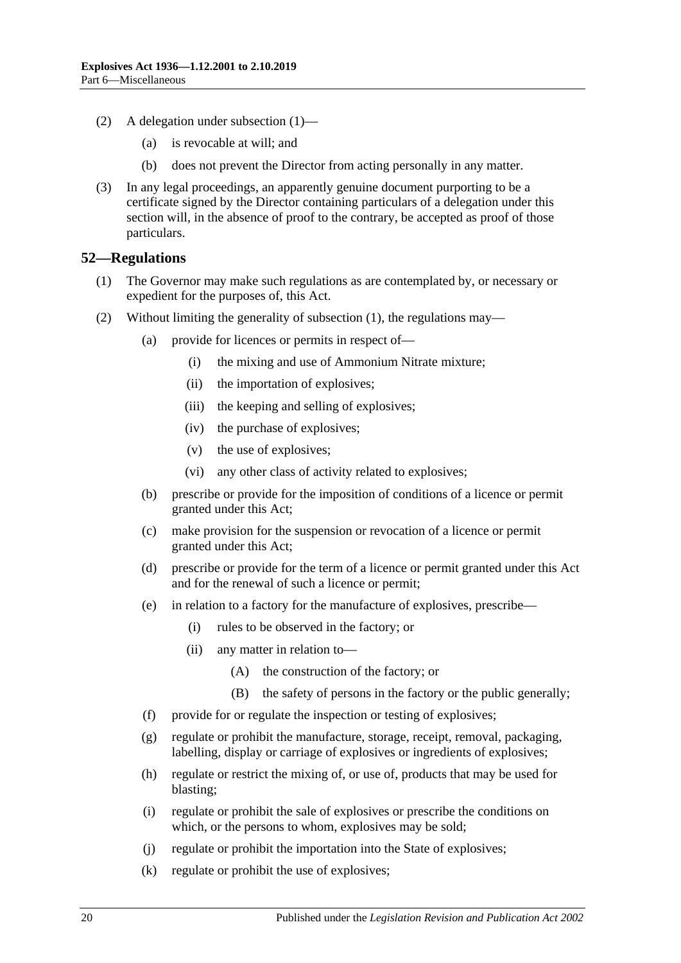- (2) A delegation under [subsection](#page-18-4) (1)—
	- (a) is revocable at will; and
	- (b) does not prevent the Director from acting personally in any matter.
- (3) In any legal proceedings, an apparently genuine document purporting to be a certificate signed by the Director containing particulars of a delegation under this section will, in the absence of proof to the contrary, be accepted as proof of those particulars.

#### <span id="page-19-1"></span><span id="page-19-0"></span>**52—Regulations**

- (1) The Governor may make such regulations as are contemplated by, or necessary or expedient for the purposes of, this Act.
- (2) Without limiting the generality of [subsection](#page-19-1) (1), the regulations may—
	- (a) provide for licences or permits in respect of—
		- (i) the mixing and use of Ammonium Nitrate mixture;
		- (ii) the importation of explosives;
		- (iii) the keeping and selling of explosives;
		- (iv) the purchase of explosives;
		- (v) the use of explosives;
		- (vi) any other class of activity related to explosives;
	- (b) prescribe or provide for the imposition of conditions of a licence or permit granted under this Act;
	- (c) make provision for the suspension or revocation of a licence or permit granted under this Act;
	- (d) prescribe or provide for the term of a licence or permit granted under this Act and for the renewal of such a licence or permit;
	- (e) in relation to a factory for the manufacture of explosives, prescribe—
		- (i) rules to be observed in the factory; or
		- (ii) any matter in relation to—
			- (A) the construction of the factory; or
			- (B) the safety of persons in the factory or the public generally;
	- (f) provide for or regulate the inspection or testing of explosives;
	- (g) regulate or prohibit the manufacture, storage, receipt, removal, packaging, labelling, display or carriage of explosives or ingredients of explosives;
	- (h) regulate or restrict the mixing of, or use of, products that may be used for blasting;
	- (i) regulate or prohibit the sale of explosives or prescribe the conditions on which, or the persons to whom, explosives may be sold;
	- (j) regulate or prohibit the importation into the State of explosives;
	- (k) regulate or prohibit the use of explosives;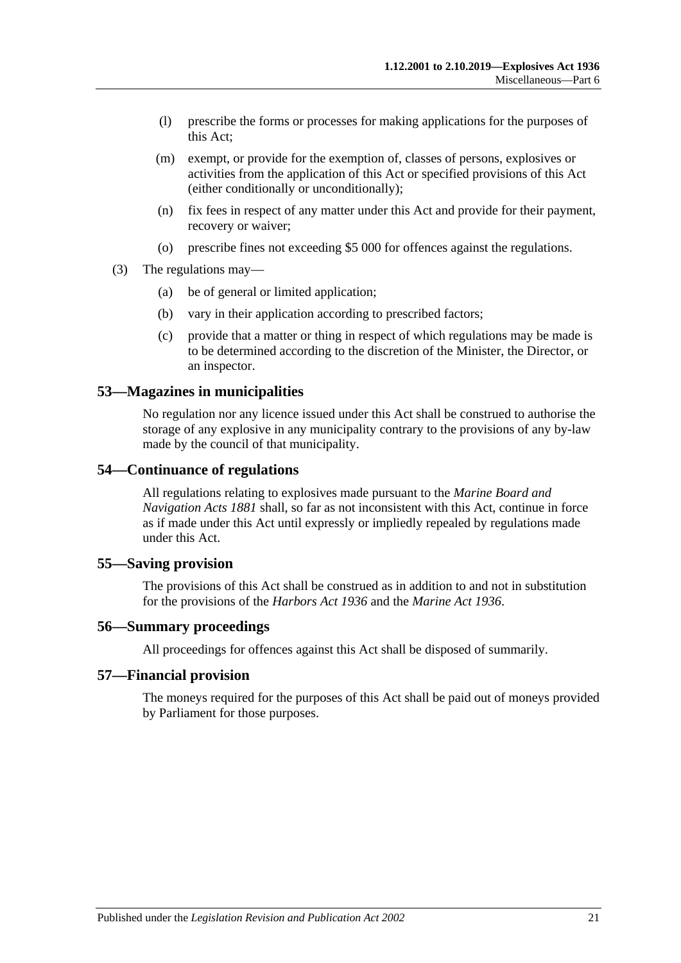- (l) prescribe the forms or processes for making applications for the purposes of this Act;
- (m) exempt, or provide for the exemption of, classes of persons, explosives or activities from the application of this Act or specified provisions of this Act (either conditionally or unconditionally);
- (n) fix fees in respect of any matter under this Act and provide for their payment, recovery or waiver;
- (o) prescribe fines not exceeding \$5 000 for offences against the regulations.
- (3) The regulations may—
	- (a) be of general or limited application;
	- (b) vary in their application according to prescribed factors;
	- (c) provide that a matter or thing in respect of which regulations may be made is to be determined according to the discretion of the Minister, the Director, or an inspector.

#### <span id="page-20-0"></span>**53—Magazines in municipalities**

No regulation nor any licence issued under this Act shall be construed to authorise the storage of any explosive in any municipality contrary to the provisions of any by-law made by the council of that municipality.

#### <span id="page-20-1"></span>**54—Continuance of regulations**

All regulations relating to explosives made pursuant to the *[Marine Board and](http://www.legislation.sa.gov.au/index.aspx?action=legref&type=act&legtitle=Marine%20Board%20and%20Navigation%20Acts%201881)  [Navigation Acts](http://www.legislation.sa.gov.au/index.aspx?action=legref&type=act&legtitle=Marine%20Board%20and%20Navigation%20Acts%201881) 1881* shall, so far as not inconsistent with this Act, continue in force as if made under this Act until expressly or impliedly repealed by regulations made under this Act.

#### <span id="page-20-2"></span>**55—Saving provision**

The provisions of this Act shall be construed as in addition to and not in substitution for the provisions of the *[Harbors Act](http://www.legislation.sa.gov.au/index.aspx?action=legref&type=act&legtitle=Harbors%20Act%201936) 1936* and the *[Marine Act](http://www.legislation.sa.gov.au/index.aspx?action=legref&type=act&legtitle=Marine%20Act%201936) 1936*.

#### <span id="page-20-3"></span>**56—Summary proceedings**

All proceedings for offences against this Act shall be disposed of summarily.

#### <span id="page-20-4"></span>**57—Financial provision**

The moneys required for the purposes of this Act shall be paid out of moneys provided by Parliament for those purposes.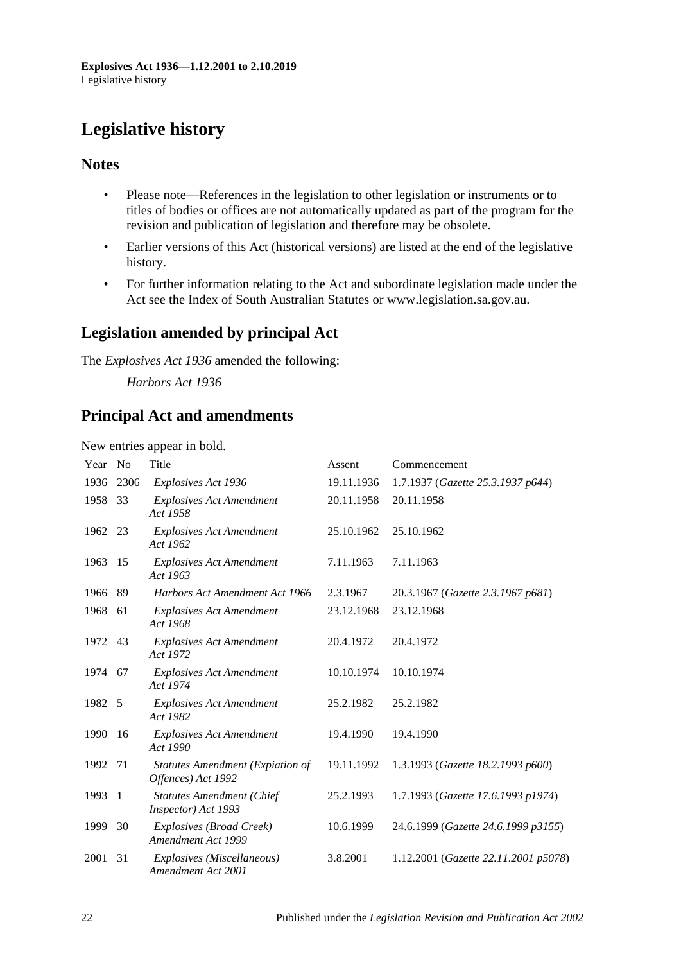# <span id="page-21-0"></span>**Legislative history**

## **Notes**

- Please note—References in the legislation to other legislation or instruments or to titles of bodies or offices are not automatically updated as part of the program for the revision and publication of legislation and therefore may be obsolete.
- Earlier versions of this Act (historical versions) are listed at the end of the legislative history.
- For further information relating to the Act and subordinate legislation made under the Act see the Index of South Australian Statutes or www.legislation.sa.gov.au.

## **Legislation amended by principal Act**

The *Explosives Act 1936* amended the following:

*Harbors Act 1936*

## **Principal Act and amendments**

New entries appear in bold.

| Year    | No   | Title                                                         | Assent     | Commencement                         |
|---------|------|---------------------------------------------------------------|------------|--------------------------------------|
| 1936    | 2306 | Explosives Act 1936                                           | 19.11.1936 | 1.7.1937 (Gazette 25.3.1937 p644)    |
| 1958    | 33   | <b>Explosives Act Amendment</b><br>Act 1958                   | 20.11.1958 | 20.11.1958                           |
| 1962 23 |      | <b>Explosives Act Amendment</b><br>Act 1962                   | 25.10.1962 | 25.10.1962                           |
| 1963    | -15  | <b>Explosives Act Amendment</b><br>Act 1963                   | 7.11.1963  | 7.11.1963                            |
| 1966    | 89   | Harbors Act Amendment Act 1966                                | 2.3.1967   | 20.3.1967 (Gazette 2.3.1967 p681)    |
| 1968    | -61  | <b>Explosives Act Amendment</b><br>Act 1968                   | 23.12.1968 | 23.12.1968                           |
| 1972    | -43  | <b>Explosives Act Amendment</b><br>Act 1972                   | 20.4.1972  | 20.4.1972                            |
| 1974 67 |      | <b>Explosives Act Amendment</b><br>Act 1974                   | 10.10.1974 | 10.10.1974                           |
| 1982    | - 5  | <b>Explosives Act Amendment</b><br>Act 1982                   | 25.2.1982  | 25.2.1982                            |
| 1990    | -16  | <b>Explosives Act Amendment</b><br>Act 1990                   | 19.4.1990  | 19.4.1990                            |
| 1992    | -71  | <b>Statutes Amendment (Expiation of</b><br>Offences) Act 1992 | 19.11.1992 | 1.3.1993 (Gazette 18.2.1993 p600)    |
| 1993    | -1   | <b>Statutes Amendment (Chief</b><br>Inspector) Act 1993       | 25.2.1993  | 1.7.1993 (Gazette 17.6.1993 p1974)   |
| 1999    | 30   | Explosives (Broad Creek)<br>Amendment Act 1999                | 10.6.1999  | 24.6.1999 (Gazette 24.6.1999 p3155)  |
| 2001    | 31   | Explosives (Miscellaneous)<br>Amendment Act 2001              | 3.8.2001   | 1.12.2001 (Gazette 22.11.2001 p5078) |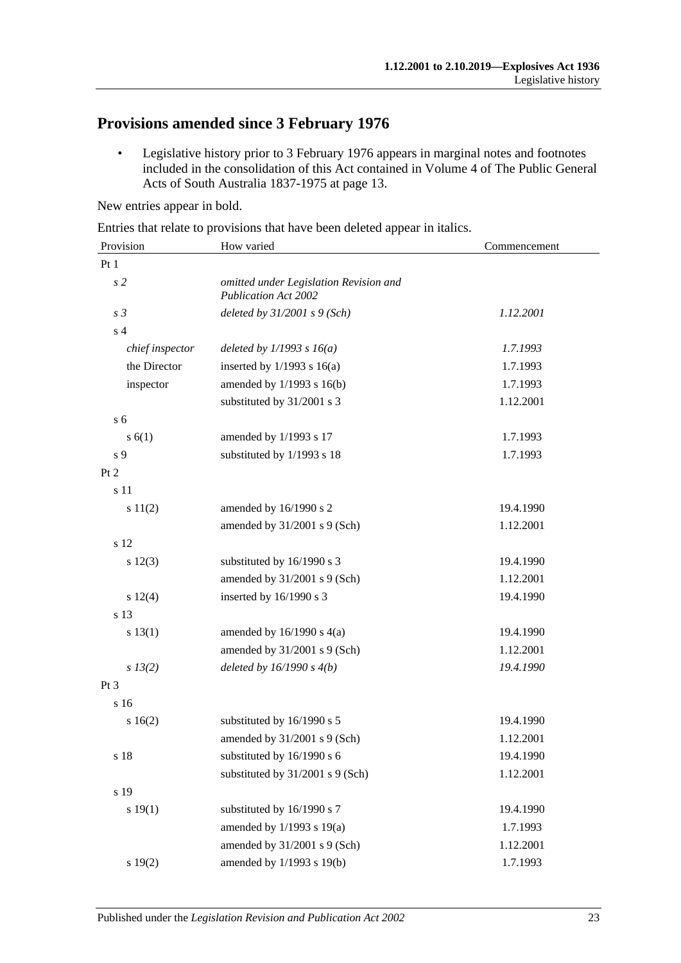## **Provisions amended since 3 February 1976**

• Legislative history prior to 3 February 1976 appears in marginal notes and footnotes included in the consolidation of this Act contained in Volume 4 of The Public General Acts of South Australia 1837-1975 at page 13.

New entries appear in bold.

Entries that relate to provisions that have been deleted appear in italics.

| Provision       | How varied                                                            | Commencement |  |
|-----------------|-----------------------------------------------------------------------|--------------|--|
| Pt 1            |                                                                       |              |  |
| s <sub>2</sub>  | omitted under Legislation Revision and<br><b>Publication Act 2002</b> |              |  |
| s <sub>3</sub>  | deleted by $31/2001$ s $9$ (Sch)                                      | 1.12.2001    |  |
| s <sub>4</sub>  |                                                                       |              |  |
| chief inspector | deleted by $1/1993 s 16(a)$                                           | 1.7.1993     |  |
| the Director    | inserted by $1/1993$ s $16(a)$                                        | 1.7.1993     |  |
| inspector       | amended by 1/1993 s 16(b)                                             | 1.7.1993     |  |
|                 | substituted by 31/2001 s 3                                            | 1.12.2001    |  |
| s <sub>6</sub>  |                                                                       |              |  |
| s(6(1))         | amended by 1/1993 s 17                                                | 1.7.1993     |  |
| s 9             | substituted by 1/1993 s 18                                            | 1.7.1993     |  |
| Pt 2            |                                                                       |              |  |
| s 11            |                                                                       |              |  |
| s 11(2)         | amended by 16/1990 s 2                                                | 19.4.1990    |  |
|                 | amended by $31/2001$ s 9 (Sch)                                        | 1.12.2001    |  |
| s 12            |                                                                       |              |  |
| $s\ 12(3)$      | substituted by 16/1990 s 3                                            | 19.4.1990    |  |
|                 | amended by 31/2001 s 9 (Sch)                                          | 1.12.2001    |  |
| $s\ 12(4)$      | inserted by 16/1990 s 3                                               | 19.4.1990    |  |
| s 13            |                                                                       |              |  |
| s 13(1)         | amended by $16/1990$ s $4(a)$                                         | 19.4.1990    |  |
|                 | amended by $31/2001$ s 9 (Sch)                                        | 1.12.2001    |  |
| $s\,13(2)$      | deleted by $16/1990 s 4(b)$                                           | 19.4.1990    |  |
| Pt <sub>3</sub> |                                                                       |              |  |
| s 16            |                                                                       |              |  |
| s16(2)          | substituted by 16/1990 s 5                                            | 19.4.1990    |  |
|                 | amended by 31/2001 s 9 (Sch)                                          | 1.12.2001    |  |
| s 18            | substituted by 16/1990 s 6                                            | 19.4.1990    |  |
|                 | substituted by 31/2001 s 9 (Sch)                                      | 1.12.2001    |  |
| s 19            |                                                                       |              |  |
| s 19(1)         | substituted by 16/1990 s 7                                            | 19.4.1990    |  |
|                 | amended by 1/1993 s 19(a)                                             | 1.7.1993     |  |
|                 | amended by 31/2001 s 9 (Sch)                                          | 1.12.2001    |  |
| s 19(2)         | amended by 1/1993 s 19(b)                                             | 1.7.1993     |  |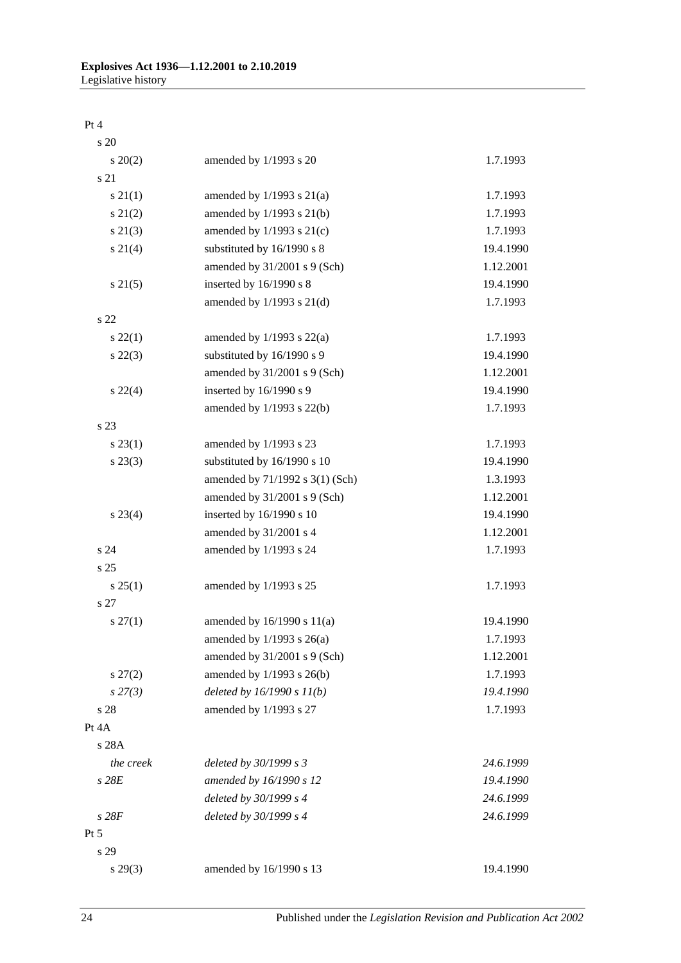#### Pt 4

| s 20              |                                 |           |
|-------------------|---------------------------------|-----------|
| $\frac{20(2)}{2}$ | amended by 1/1993 s 20          | 1.7.1993  |
| s 21              |                                 |           |
| $s \, 21(1)$      | amended by $1/1993$ s $21(a)$   | 1.7.1993  |
| $s\ 21(2)$        | amended by 1/1993 s 21(b)       | 1.7.1993  |
| $s\ 21(3)$        | amended by $1/1993$ s $21(c)$   | 1.7.1993  |
| $s \, 21(4)$      | substituted by 16/1990 s 8      | 19.4.1990 |
|                   | amended by 31/2001 s 9 (Sch)    | 1.12.2001 |
| $s \, 21(5)$      | inserted by 16/1990 s 8         | 19.4.1990 |
|                   | amended by $1/1993$ s $21(d)$   | 1.7.1993  |
| s <sub>22</sub>   |                                 |           |
| $s\,22(1)$        | amended by $1/1993$ s $22(a)$   | 1.7.1993  |
| $s\,22(3)$        | substituted by 16/1990 s 9      | 19.4.1990 |
|                   | amended by 31/2001 s 9 (Sch)    | 1.12.2001 |
| $s\,22(4)$        | inserted by 16/1990 s 9         | 19.4.1990 |
|                   | amended by $1/1993$ s $22(b)$   | 1.7.1993  |
| s 23              |                                 |           |
| $s\,23(1)$        | amended by 1/1993 s 23          | 1.7.1993  |
| $s\,23(3)$        | substituted by 16/1990 s 10     | 19.4.1990 |
|                   | amended by 71/1992 s 3(1) (Sch) | 1.3.1993  |
|                   | amended by $31/2001$ s 9 (Sch)  | 1.12.2001 |
| $s\,23(4)$        | inserted by 16/1990 s 10        | 19.4.1990 |
|                   | amended by 31/2001 s 4          | 1.12.2001 |
| s24               | amended by 1/1993 s 24          | 1.7.1993  |
| s <sub>25</sub>   |                                 |           |
| $s \, 25(1)$      | amended by 1/1993 s 25          | 1.7.1993  |
| s 27              |                                 |           |
| $s \, 27(1)$      | amended by $16/1990$ s $11(a)$  | 19.4.1990 |
|                   | amended by $1/1993$ s $26(a)$   | 1.7.1993  |
|                   | amended by 31/2001 s 9 (Sch)    | 1.12.2001 |
| $s\,27(2)$        | amended by 1/1993 s 26(b)       | 1.7.1993  |
| $s\,27(3)$        | deleted by $16/1990 s 11(b)$    | 19.4.1990 |
| s 28              | amended by 1/1993 s 27          | 1.7.1993  |
| Pt 4A             |                                 |           |
| s 28A             |                                 |           |
| the creek         | deleted by 30/1999 s 3          | 24.6.1999 |
| $s$ 28 $E$        | amended by 16/1990 s 12         | 19.4.1990 |
|                   | deleted by 30/1999 s 4          | 24.6.1999 |
| s28F              | deleted by 30/1999 s 4          | 24.6.1999 |
| Pt 5              |                                 |           |
| s 29              |                                 |           |
| $s\,29(3)$        | amended by 16/1990 s 13         | 19.4.1990 |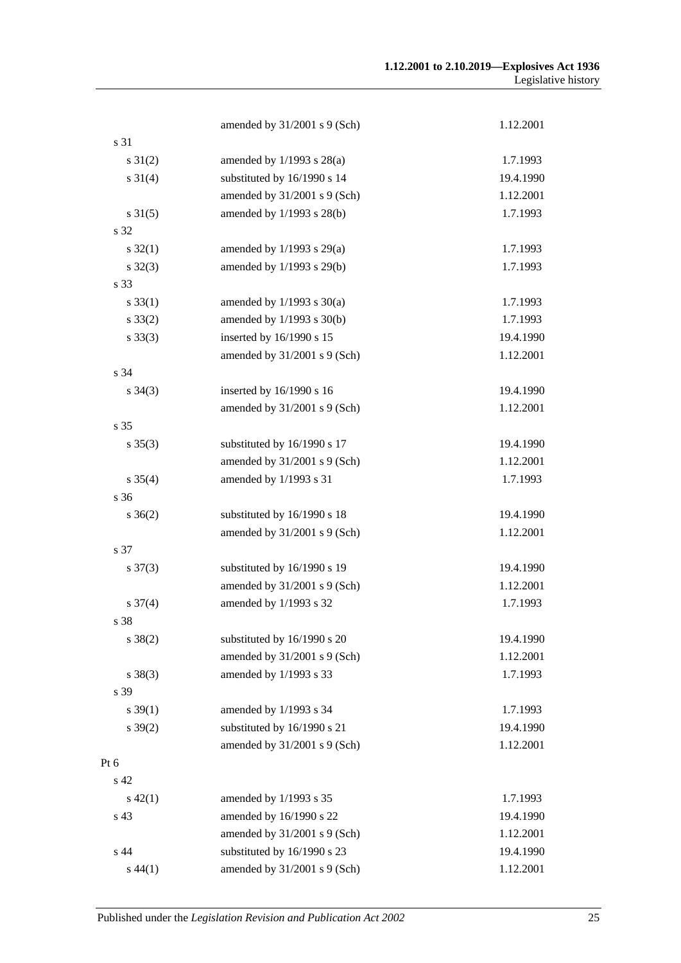|                     | amended by 31/2001 s 9 (Sch)  | 1.12.2001 |
|---------------------|-------------------------------|-----------|
| s 31                |                               |           |
| $s \, 31(2)$        | amended by $1/1993$ s $28(a)$ | 1.7.1993  |
| $s \ 31(4)$         | substituted by 16/1990 s 14   | 19.4.1990 |
|                     | amended by 31/2001 s 9 (Sch)  | 1.12.2001 |
| $s \, 31(5)$        | amended by 1/1993 s 28(b)     | 1.7.1993  |
| s 32                |                               |           |
| $s \, 32(1)$        | amended by $1/1993$ s $29(a)$ | 1.7.1993  |
| $s \, 32(3)$        | amended by 1/1993 s 29(b)     | 1.7.1993  |
| s 33                |                               |           |
| $s \, 33(1)$        | amended by $1/1993$ s $30(a)$ | 1.7.1993  |
| $s \, 33(2)$        | amended by 1/1993 s 30(b)     | 1.7.1993  |
| $s \, 33(3)$        | inserted by 16/1990 s 15      | 19.4.1990 |
|                     | amended by 31/2001 s 9 (Sch)  | 1.12.2001 |
| s 34                |                               |           |
| $s \; 34(3)$        | inserted by 16/1990 s 16      | 19.4.1990 |
|                     | amended by 31/2001 s 9 (Sch)  | 1.12.2001 |
| s 35                |                               |           |
| $s \, 35(3)$        | substituted by 16/1990 s 17   | 19.4.1990 |
|                     | amended by 31/2001 s 9 (Sch)  | 1.12.2001 |
| $s \; 35(4)$        | amended by 1/1993 s 31        | 1.7.1993  |
| s 36                |                               |           |
| $s \; 36(2)$        | substituted by 16/1990 s 18   | 19.4.1990 |
|                     | amended by 31/2001 s 9 (Sch)  | 1.12.2001 |
| s 37                |                               |           |
| $s \frac{37(3)}{3}$ | substituted by 16/1990 s 19   | 19.4.1990 |
|                     | amended by 31/2001 s 9 (Sch)  | 1.12.2001 |
| $s \frac{37(4)}{2}$ | amended by 1/1993 s 32        | 1.7.1993  |
| s 38                |                               |           |
| $s \ 38(2)$         | substituted by 16/1990 s 20   | 19.4.1990 |
|                     | amended by 31/2001 s 9 (Sch)  | 1.12.2001 |
| $s \ 38(3)$         | amended by 1/1993 s 33        | 1.7.1993  |
| s 39                |                               |           |
| $s \, 39(1)$        | amended by 1/1993 s 34        | 1.7.1993  |
| $s \, 39(2)$        | substituted by 16/1990 s 21   | 19.4.1990 |
|                     | amended by 31/2001 s 9 (Sch)  | 1.12.2001 |
| Pt 6                |                               |           |
| s 42                |                               |           |
| $s\ 42(1)$          | amended by 1/1993 s 35        | 1.7.1993  |
| s 43                | amended by 16/1990 s 22       | 19.4.1990 |
|                     | amended by 31/2001 s 9 (Sch)  | 1.12.2001 |
| s 44                | substituted by 16/1990 s 23   | 19.4.1990 |
| $s\,44(1)$          | amended by 31/2001 s 9 (Sch)  | 1.12.2001 |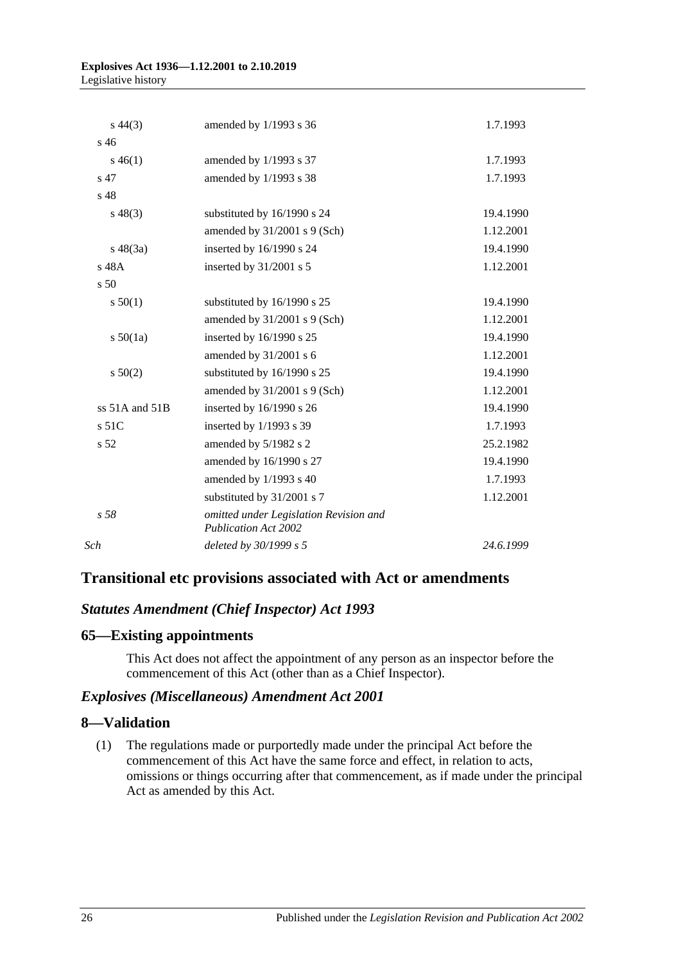#### **Explosives Act 1936—1.12.2001 to 2.10.2019** Legislative history

| $s\,44(3)$         | amended by 1/1993 s 36                                                | 1.7.1993  |
|--------------------|-----------------------------------------------------------------------|-----------|
| s, 46              |                                                                       |           |
| $s\,46(1)$         | amended by 1/1993 s 37                                                | 1.7.1993  |
| s 47               | amended by 1/1993 s 38                                                | 1.7.1993  |
| s 48               |                                                                       |           |
| $s\,48(3)$         | substituted by 16/1990 s 24                                           | 19.4.1990 |
|                    | amended by $31/2001$ s 9 (Sch)                                        | 1.12.2001 |
| $s\ 48(3a)$        | inserted by 16/1990 s 24                                              | 19.4.1990 |
| s 48A              | inserted by $31/2001$ s 5                                             | 1.12.2001 |
| s <sub>50</sub>    |                                                                       |           |
| s 50(1)            | substituted by 16/1990 s 25                                           | 19.4.1990 |
|                    | amended by $31/2001$ s 9 (Sch)                                        | 1.12.2001 |
| s 50(1a)           | inserted by 16/1990 s 25                                              | 19.4.1990 |
|                    | amended by 31/2001 s 6                                                | 1.12.2001 |
| s 50(2)            | substituted by 16/1990 s 25                                           | 19.4.1990 |
|                    | amended by $31/2001$ s 9 (Sch)                                        | 1.12.2001 |
| ss $51A$ and $51B$ | inserted by $16/1990$ s 26                                            | 19.4.1990 |
| $s$ 51C            | inserted by $1/1993$ s 39                                             | 1.7.1993  |
| s 52               | amended by 5/1982 s 2                                                 | 25.2.1982 |
|                    | amended by 16/1990 s 27                                               | 19.4.1990 |
|                    | amended by 1/1993 s 40                                                | 1.7.1993  |
|                    | substituted by 31/2001 s 7                                            | 1.12.2001 |
| s.58               | omitted under Legislation Revision and<br><b>Publication Act 2002</b> |           |
| Sch                | deleted by 30/1999 s 5                                                | 24.6.1999 |
|                    |                                                                       |           |

## **Transitional etc provisions associated with Act or amendments**

## *Statutes Amendment (Chief Inspector) Act 1993*

## **65—Existing appointments**

This Act does not affect the appointment of any person as an inspector before the commencement of this Act (other than as a Chief Inspector).

## *Explosives (Miscellaneous) Amendment Act 2001*

## **8—Validation**

(1) The regulations made or purportedly made under the principal Act before the commencement of this Act have the same force and effect, in relation to acts, omissions or things occurring after that commencement, as if made under the principal Act as amended by this Act.